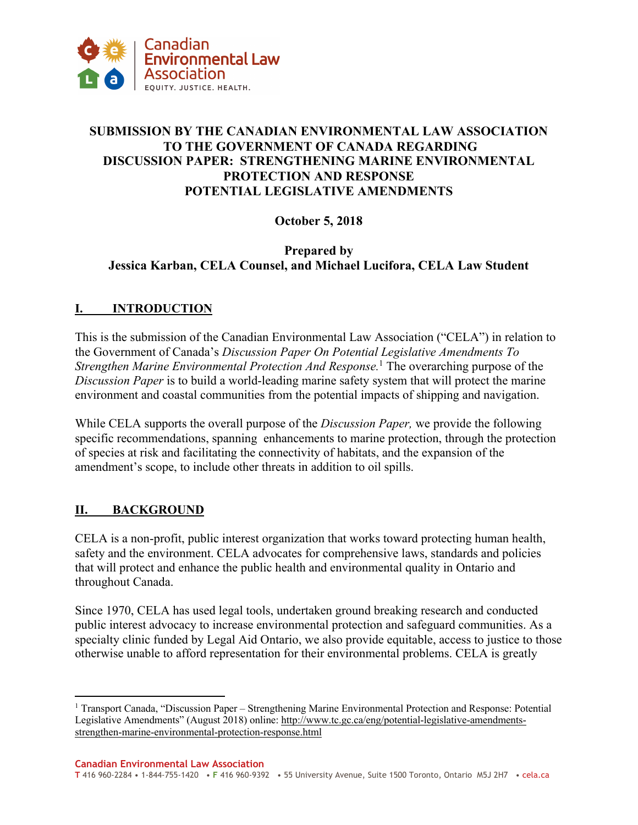

## **SUBMISSION BY THE CANADIAN ENVIRONMENTAL LAW ASSOCIATION TO THE GOVERNMENT OF CANADA REGARDING DISCUSSION PAPER: STRENGTHENING MARINE ENVIRONMENTAL PROTECTION AND RESPONSE POTENTIAL LEGISLATIVE AMENDMENTS**

## **October 5, 2018**

## **Prepared by Jessica Karban, CELA Counsel, and Michael Lucifora, CELA Law Student**

## **I. INTRODUCTION**

This is the submission of the Canadian Environmental Law Association ("CELA") in relation to the Government of Canada's *Discussion Paper On Potential Legislative Amendments To Strengthen Marine Environmental Protection And Response.*<sup>1</sup> The overarching purpose of the *Discussion Paper* is to build a world-leading marine safety system that will protect the marine environment and coastal communities from the potential impacts of shipping and navigation.

While CELA supports the overall purpose of the *Discussion Paper,* we provide the following specific recommendations, spanning enhancements to marine protection, through the protection of species at risk and facilitating the connectivity of habitats, and the expansion of the amendment's scope, to include other threats in addition to oil spills.

## **II. BACKGROUND**

 $\overline{a}$ 

CELA is a non-profit, public interest organization that works toward protecting human health, safety and the environment. CELA advocates for comprehensive laws, standards and policies that will protect and enhance the public health and environmental quality in Ontario and throughout Canada.

Since 1970, CELA has used legal tools, undertaken ground breaking research and conducted public interest advocacy to increase environmental protection and safeguard communities. As a specialty clinic funded by Legal Aid Ontario, we also provide equitable, access to justice to those otherwise unable to afford representation for their environmental problems. CELA is greatly

<sup>&</sup>lt;sup>1</sup> Transport Canada, "Discussion Paper – Strengthening Marine Environmental Protection and Response: Potential Legislative Amendments" (August 2018) online: http://www.tc.gc.ca/eng/potential-legislative-amendmentsstrengthen-marine-environmental-protection-response.html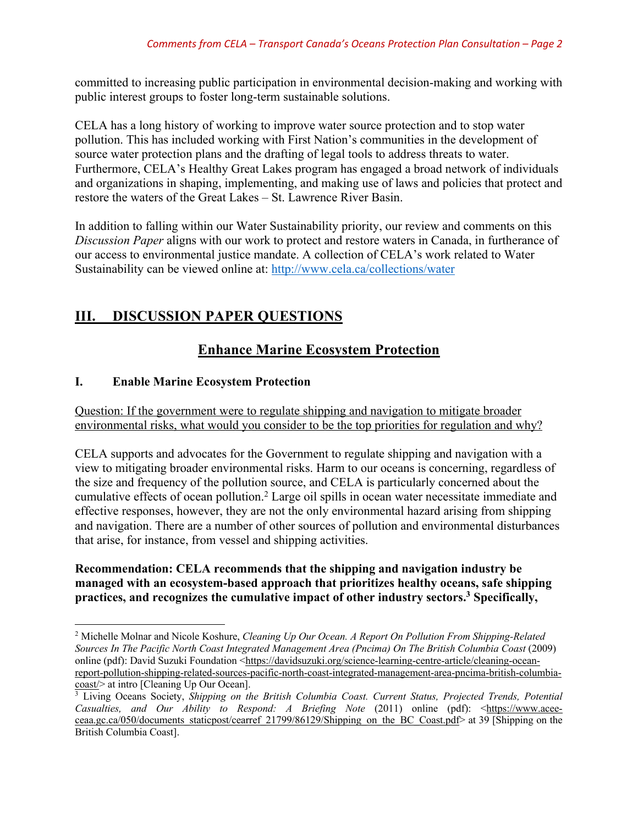committed to increasing public participation in environmental decision-making and working with public interest groups to foster long-term sustainable solutions.

CELA has a long history of working to improve water source protection and to stop water pollution. This has included working with First Nation's communities in the development of source water protection plans and the drafting of legal tools to address threats to water. Furthermore, CELA's Healthy Great Lakes program has engaged a broad network of individuals and organizations in shaping, implementing, and making use of laws and policies that protect and restore the waters of the Great Lakes – St. Lawrence River Basin.

In addition to falling within our Water Sustainability priority, our review and comments on this *Discussion Paper* aligns with our work to protect and restore waters in Canada, in furtherance of our access to environmental justice mandate. A collection of CELA's work related to Water Sustainability can be viewed online at: http://www.cela.ca/collections/water

# **III. DISCUSSION PAPER QUESTIONS**

# **Enhance Marine Ecosystem Protection**

## **I. Enable Marine Ecosystem Protection**

l

Question: If the government were to regulate shipping and navigation to mitigate broader environmental risks, what would you consider to be the top priorities for regulation and why?

CELA supports and advocates for the Government to regulate shipping and navigation with a view to mitigating broader environmental risks. Harm to our oceans is concerning, regardless of the size and frequency of the pollution source, and CELA is particularly concerned about the cumulative effects of ocean pollution. <sup>2</sup> Large oil spills in ocean water necessitate immediate and effective responses, however, they are not the only environmental hazard arising from shipping and navigation. There are a number of other sources of pollution and environmental disturbances that arise, for instance, from vessel and shipping activities.

## **Recommendation: CELA recommends that the shipping and navigation industry be managed with an ecosystem-based approach that prioritizes healthy oceans, safe shipping practices, and recognizes the cumulative impact of other industry sectors.3 Specifically,**

<sup>2</sup> Michelle Molnar and Nicole Koshure, *Cleaning Up Our Ocean. A Report On Pollution From Shipping-Related Sources In The Pacific North Coast Integrated Management Area (Pncima) On The British Columbia Coast* (2009) online (pdf): David Suzuki Foundation <https://davidsuzuki.org/science-learning-centre-article/cleaning-oceanreport-pollution-shipping-related-sources-pacific-north-coast-integrated-management-area-pncima-british-columbiacoast/> at intro [Cleaning Up Our Ocean].

<sup>&</sup>lt;sup>3</sup> Living Oceans Society, *Shipping on the British Columbia Coast. Current Status, Projected Trends, Potential Casualties, and Our Ability to Respond: A Briefing Note (2011) online (pdf):* <https://www.aceeceaa.gc.ca/050/documents\_staticpost/cearref\_21799/86129/Shipping\_on\_the\_BC\_Coast.pdf> at 39 [Shipping on the British Columbia Coast].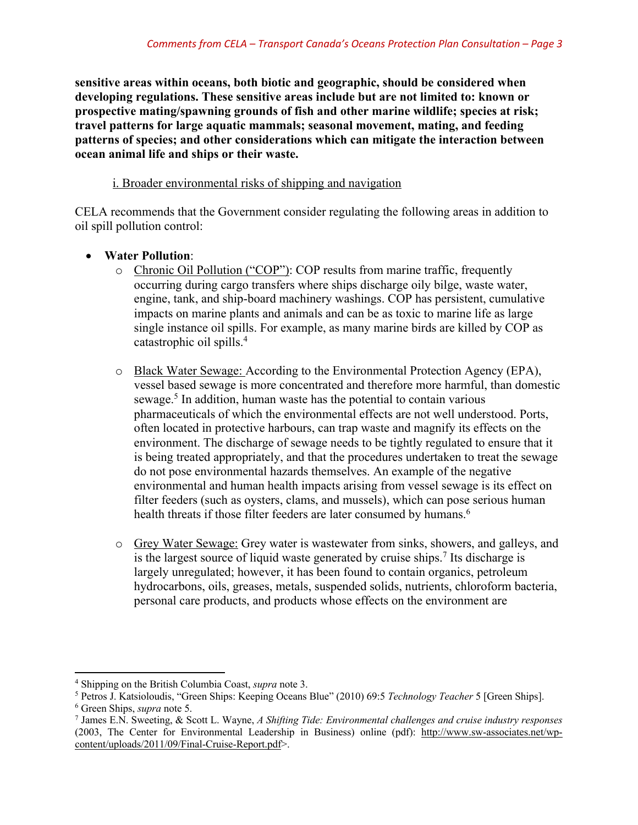**sensitive areas within oceans, both biotic and geographic, should be considered when developing regulations. These sensitive areas include but are not limited to: known or prospective mating/spawning grounds of fish and other marine wildlife; species at risk; travel patterns for large aquatic mammals; seasonal movement, mating, and feeding patterns of species; and other considerations which can mitigate the interaction between ocean animal life and ships or their waste.**

## i. Broader environmental risks of shipping and navigation

CELA recommends that the Government consider regulating the following areas in addition to oil spill pollution control:

## • **Water Pollution**:

- o Chronic Oil Pollution ("COP"): COP results from marine traffic, frequently occurring during cargo transfers where ships discharge oily bilge, waste water, engine, tank, and ship-board machinery washings. COP has persistent, cumulative impacts on marine plants and animals and can be as toxic to marine life as large single instance oil spills. For example, as many marine birds are killed by COP as catastrophic oil spills.4
- o Black Water Sewage: According to the Environmental Protection Agency (EPA), vessel based sewage is more concentrated and therefore more harmful, than domestic sewage.<sup>5</sup> In addition, human waste has the potential to contain various pharmaceuticals of which the environmental effects are not well understood. Ports, often located in protective harbours, can trap waste and magnify its effects on the environment. The discharge of sewage needs to be tightly regulated to ensure that it is being treated appropriately, and that the procedures undertaken to treat the sewage do not pose environmental hazards themselves. An example of the negative environmental and human health impacts arising from vessel sewage is its effect on filter feeders (such as oysters, clams, and mussels), which can pose serious human health threats if those filter feeders are later consumed by humans.<sup>6</sup>
- o Grey Water Sewage: Grey water is wastewater from sinks, showers, and galleys, and is the largest source of liquid waste generated by cruise ships.<sup>7</sup> Its discharge is largely unregulated; however, it has been found to contain organics, petroleum hydrocarbons, oils, greases, metals, suspended solids, nutrients, chloroform bacteria, personal care products, and products whose effects on the environment are

l

<sup>&</sup>lt;sup>4</sup> Shipping on the British Columbia Coast, *supra* note 3.<br><sup>5</sup> Petros J. Katsioloudis, "Green Ships: Keeping Oceans Blue" (2010) 69:5 *Technology Teacher* 5 [Green Ships].

<sup>6</sup> Green Ships, *supra* note 5. 7 James E.N. Sweeting, & Scott L. Wayne, *A Shifting Tide: Environmental challenges and cruise industry responses* (2003, The Center for Environmental Leadership in Business) online (pdf): http://www.sw-associates.net/wpcontent/uploads/2011/09/Final-Cruise-Report.pdf>.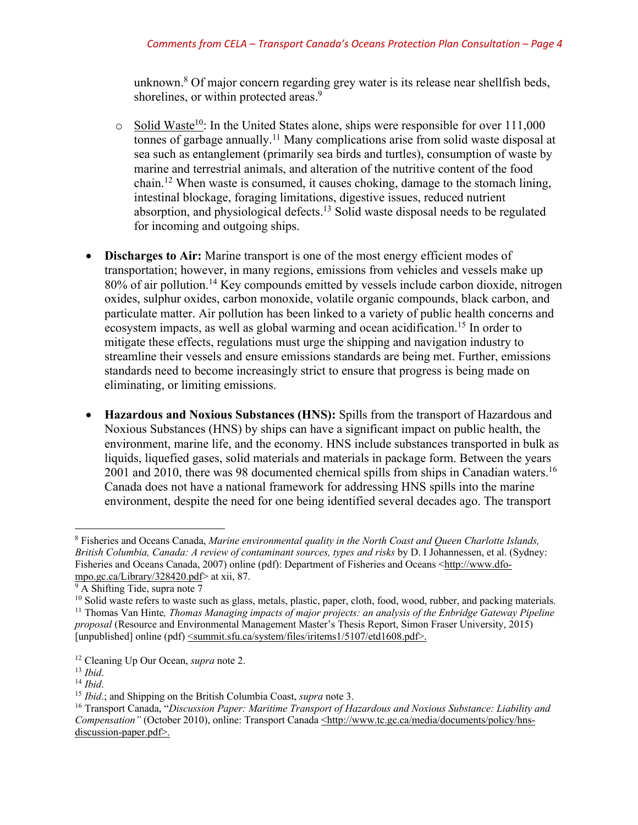unknown.8 Of major concern regarding grey water is its release near shellfish beds, shorelines, or within protected areas.<sup>9</sup>

- $\circ$  Solid Waste<sup>10</sup>: In the United States alone, ships were responsible for over 111,000 tonnes of garbage annually.<sup>11</sup> Many complications arise from solid waste disposal at sea such as entanglement (primarily sea birds and turtles), consumption of waste by marine and terrestrial animals, and alteration of the nutritive content of the food chain.12 When waste is consumed, it causes choking, damage to the stomach lining, intestinal blockage, foraging limitations, digestive issues, reduced nutrient absorption, and physiological defects.13 Solid waste disposal needs to be regulated for incoming and outgoing ships.
- **Discharges to Air:** Marine transport is one of the most energy efficient modes of transportation; however, in many regions, emissions from vehicles and vessels make up 80% of air pollution.<sup>14</sup> Key compounds emitted by vessels include carbon dioxide, nitrogen oxides, sulphur oxides, carbon monoxide, volatile organic compounds, black carbon, and particulate matter. Air pollution has been linked to a variety of public health concerns and ecosystem impacts, as well as global warming and ocean acidification.<sup>15</sup> In order to mitigate these effects, regulations must urge the shipping and navigation industry to streamline their vessels and ensure emissions standards are being met. Further, emissions standards need to become increasingly strict to ensure that progress is being made on eliminating, or limiting emissions.
- **Hazardous and Noxious Substances (HNS):** Spills from the transport of Hazardous and Noxious Substances (HNS) by ships can have a significant impact on public health, the environment, marine life, and the economy. HNS include substances transported in bulk as liquids, liquefied gases, solid materials and materials in package form. Between the years 2001 and 2010, there was 98 documented chemical spills from ships in Canadian waters.<sup>16</sup> Canada does not have a national framework for addressing HNS spills into the marine environment, despite the need for one being identified several decades ago. The transport

<sup>8</sup> Fisheries and Oceans Canada, *Marine environmental quality in the North Coast and Queen Charlotte Islands, British Columbia, Canada: A review of contaminant sources, types and risks* by D. I Johannessen, et al. (Sydney: Fisheries and Oceans Canada, 2007) online (pdf): Department of Fisheries and Oceans <http://www.dfompo.gc.ca/Library/328420.pdf> at xii, 87.<br><sup>9</sup> A Shifting Tide, supra note 7

<sup>&</sup>lt;sup>10</sup> Solid waste refers to waste such as glass, metals, plastic, paper, cloth, food, wood, rubber, and packing materials. <sup>11</sup> Thomas Van Hinte*, Thomas Managing impacts of major projects: an analysis of the Enbridge Gateway Pipeline proposal* (Resource and Environmental Management Master's Thesis Report, Simon Fraser University, 2015)

<sup>[</sup>unpublished] online (pdf)  $\leq$ summit.sfu.ca/system/files/iritems1/5107/etd1608.pdf>.

<sup>&</sup>lt;sup>12</sup> Cleaning Up Our Ocean, *supra* note 2.<br><sup>13</sup> *Ibid.*<br><sup>14</sup> *Ibid.*; and Shipping on the British Columbia Coast, *supra* note 3.<br><sup>15</sup> *Ibid.*; and Shipping on the British Columbia Coast, *supra* note 3.<br><sup>16</sup> Transport Ca *Compensation"* (October 2010), online: Transport Canada <http://www.tc.gc.ca/media/documents/policy/hnsdiscussion-paper.pdf>.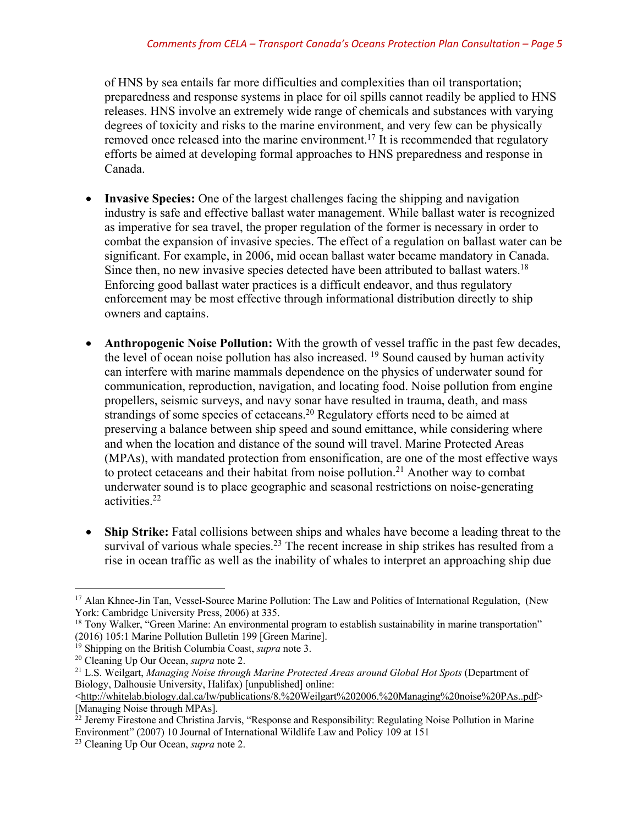of HNS by sea entails far more difficulties and complexities than oil transportation; preparedness and response systems in place for oil spills cannot readily be applied to HNS releases. HNS involve an extremely wide range of chemicals and substances with varying degrees of toxicity and risks to the marine environment, and very few can be physically removed once released into the marine environment.<sup>17</sup> It is recommended that regulatory efforts be aimed at developing formal approaches to HNS preparedness and response in Canada.

- **Invasive Species:** One of the largest challenges facing the shipping and navigation industry is safe and effective ballast water management. While ballast water is recognized as imperative for sea travel, the proper regulation of the former is necessary in order to combat the expansion of invasive species. The effect of a regulation on ballast water can be significant. For example, in 2006, mid ocean ballast water became mandatory in Canada. Since then, no new invasive species detected have been attributed to ballast waters.<sup>18</sup> Enforcing good ballast water practices is a difficult endeavor, and thus regulatory enforcement may be most effective through informational distribution directly to ship owners and captains.
- **Anthropogenic Noise Pollution:** With the growth of vessel traffic in the past few decades, the level of ocean noise pollution has also increased. 19 Sound caused by human activity can interfere with marine mammals dependence on the physics of underwater sound for communication, reproduction, navigation, and locating food. Noise pollution from engine propellers, seismic surveys, and navy sonar have resulted in trauma, death, and mass strandings of some species of cetaceans.<sup>20</sup> Regulatory efforts need to be aimed at preserving a balance between ship speed and sound emittance, while considering where and when the location and distance of the sound will travel. Marine Protected Areas (MPAs), with mandated protection from ensonification, are one of the most effective ways to protect cetaceans and their habitat from noise pollution.<sup>21</sup> Another way to combat underwater sound is to place geographic and seasonal restrictions on noise-generating activities. 22
- **Ship Strike:** Fatal collisions between ships and whales have become a leading threat to the survival of various whale species.<sup>23</sup> The recent increase in ship strikes has resulted from a rise in ocean traffic as well as the inability of whales to interpret an approaching ship due

l <sup>17</sup> Alan Khnee-Jin Tan, Vessel-Source Marine Pollution: The Law and Politics of International Regulation, (New York: Cambridge University Press, 2006) at 335.

<sup>&</sup>lt;sup>18</sup> Tony Walker, "Green Marine: An environmental program to establish sustainability in marine transportation" (2016) 105:1 Marine Pollution Bulletin 199 [Green Marine].

<sup>&</sup>lt;sup>19</sup> Shipping on the British Columbia Coast, *supra* note 3.

<sup>20</sup> Cleaning Up Our Ocean, *supra* note 2.

<sup>&</sup>lt;sup>21</sup> L.S. Weilgart, *Managing Noise through Marine Protected Areas around Global Hot Spots* (Department of Biology, Dalhousie University, Halifax) [unpublished] online:

 $\text{Khtp:}/\text{whitelab.}$ biology.dal.ca/lw/publications/8.%20Weilgart%202006.%20Managing%20noise%20PAs..pdf> [Managing Noise through MPAs].

<sup>&</sup>lt;sup>22</sup> Jeremy Firestone and Christina Jarvis, "Response and Responsibility: Regulating Noise Pollution in Marine Environment" (2007) 10 Journal of International Wildlife Law and Policy 109 at 151

<sup>23</sup> Cleaning Up Our Ocean, *supra* note 2.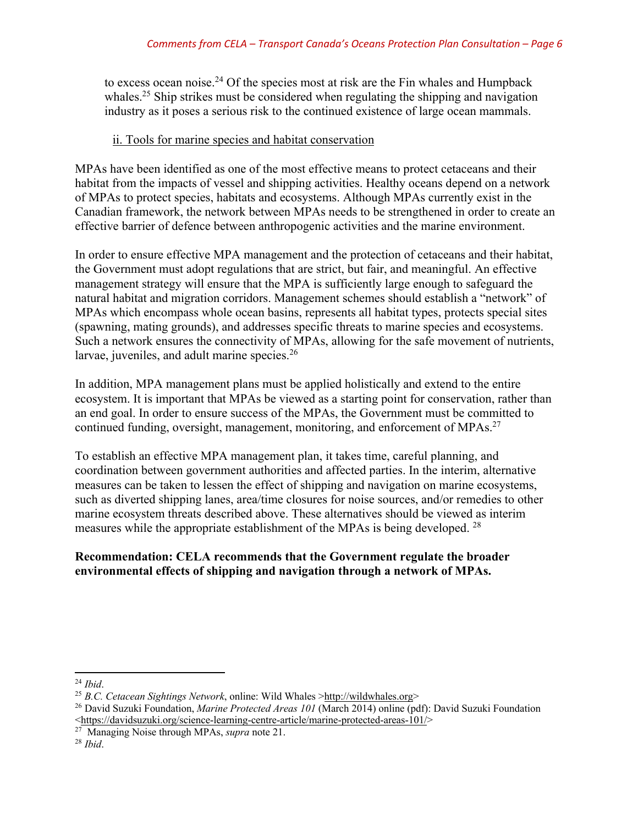to excess ocean noise.24 Of the species most at risk are the Fin whales and Humpback whales.<sup>25</sup> Ship strikes must be considered when regulating the shipping and navigation industry as it poses a serious risk to the continued existence of large ocean mammals.

## ii. Tools for marine species and habitat conservation

MPAs have been identified as one of the most effective means to protect cetaceans and their habitat from the impacts of vessel and shipping activities. Healthy oceans depend on a network of MPAs to protect species, habitats and ecosystems. Although MPAs currently exist in the Canadian framework, the network between MPAs needs to be strengthened in order to create an effective barrier of defence between anthropogenic activities and the marine environment.

In order to ensure effective MPA management and the protection of cetaceans and their habitat, the Government must adopt regulations that are strict, but fair, and meaningful. An effective management strategy will ensure that the MPA is sufficiently large enough to safeguard the natural habitat and migration corridors. Management schemes should establish a "network" of MPAs which encompass whole ocean basins, represents all habitat types, protects special sites (spawning, mating grounds), and addresses specific threats to marine species and ecosystems. Such a network ensures the connectivity of MPAs, allowing for the safe movement of nutrients, larvae, juveniles, and adult marine species.<sup>26</sup>

In addition, MPA management plans must be applied holistically and extend to the entire ecosystem. It is important that MPAs be viewed as a starting point for conservation, rather than an end goal. In order to ensure success of the MPAs, the Government must be committed to continued funding, oversight, management, monitoring, and enforcement of MPAs.<sup>27</sup>

To establish an effective MPA management plan, it takes time, careful planning, and coordination between government authorities and affected parties. In the interim, alternative measures can be taken to lessen the effect of shipping and navigation on marine ecosystems, such as diverted shipping lanes, area/time closures for noise sources, and/or remedies to other marine ecosystem threats described above. These alternatives should be viewed as interim measures while the appropriate establishment of the MPAs is being developed. 28

## **Recommendation: CELA recommends that the Government regulate the broader environmental effects of shipping and navigation through a network of MPAs.**

l <sup>24</sup> *Ibid*.

<sup>25</sup> *B.C. Cetacean Sightings Network*, online: Wild Whales >http://wildwhales.org>

<sup>26</sup> David Suzuki Foundation, *Marine Protected Areas 101* (March 2014) online (pdf): David Suzuki Foundation <https://davidsuzuki.org/science-learning-centre-article/marine-protected-areas-101/>

<sup>27</sup> Managing Noise through MPAs, *supra* note 21. 28 *Ibid*.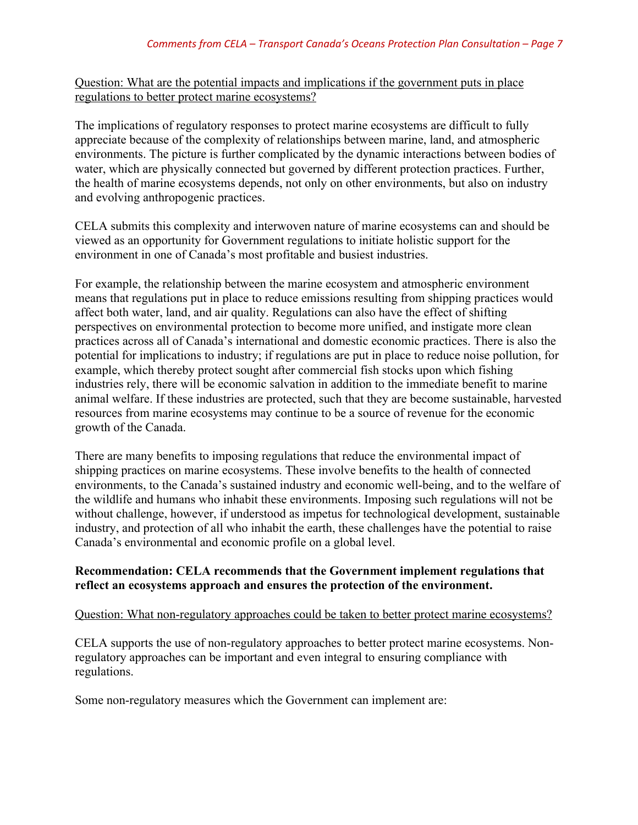Question: What are the potential impacts and implications if the government puts in place regulations to better protect marine ecosystems?

The implications of regulatory responses to protect marine ecosystems are difficult to fully appreciate because of the complexity of relationships between marine, land, and atmospheric environments. The picture is further complicated by the dynamic interactions between bodies of water, which are physically connected but governed by different protection practices. Further, the health of marine ecosystems depends, not only on other environments, but also on industry and evolving anthropogenic practices.

CELA submits this complexity and interwoven nature of marine ecosystems can and should be viewed as an opportunity for Government regulations to initiate holistic support for the environment in one of Canada's most profitable and busiest industries.

For example, the relationship between the marine ecosystem and atmospheric environment means that regulations put in place to reduce emissions resulting from shipping practices would affect both water, land, and air quality. Regulations can also have the effect of shifting perspectives on environmental protection to become more unified, and instigate more clean practices across all of Canada's international and domestic economic practices. There is also the potential for implications to industry; if regulations are put in place to reduce noise pollution, for example, which thereby protect sought after commercial fish stocks upon which fishing industries rely, there will be economic salvation in addition to the immediate benefit to marine animal welfare. If these industries are protected, such that they are become sustainable, harvested resources from marine ecosystems may continue to be a source of revenue for the economic growth of the Canada.

There are many benefits to imposing regulations that reduce the environmental impact of shipping practices on marine ecosystems. These involve benefits to the health of connected environments, to the Canada's sustained industry and economic well-being, and to the welfare of the wildlife and humans who inhabit these environments. Imposing such regulations will not be without challenge, however, if understood as impetus for technological development, sustainable industry, and protection of all who inhabit the earth, these challenges have the potential to raise Canada's environmental and economic profile on a global level.

#### **Recommendation: CELA recommends that the Government implement regulations that reflect an ecosystems approach and ensures the protection of the environment.**

#### Question: What non-regulatory approaches could be taken to better protect marine ecosystems?

CELA supports the use of non-regulatory approaches to better protect marine ecosystems. Nonregulatory approaches can be important and even integral to ensuring compliance with regulations.

Some non-regulatory measures which the Government can implement are: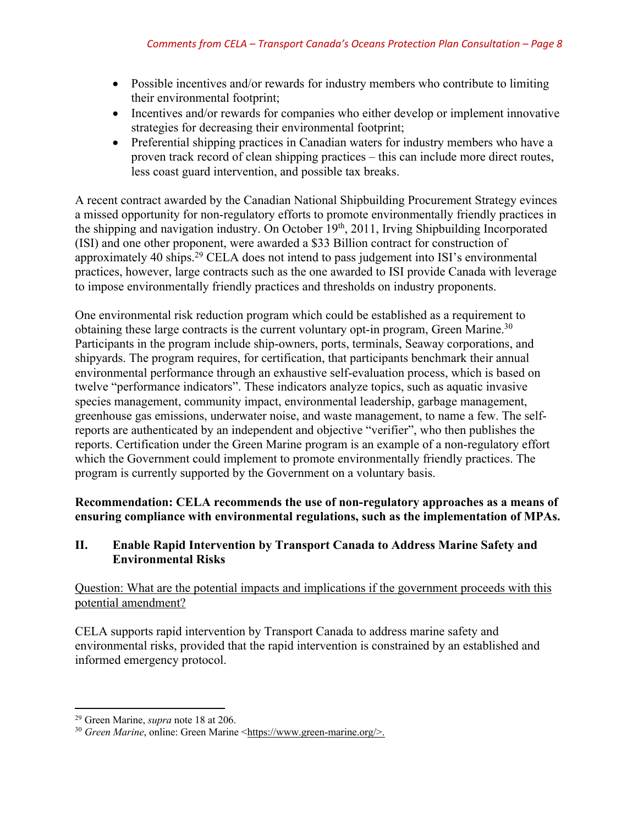- Possible incentives and/or rewards for industry members who contribute to limiting their environmental footprint;
- Incentives and/or rewards for companies who either develop or implement innovative strategies for decreasing their environmental footprint;
- Preferential shipping practices in Canadian waters for industry members who have a proven track record of clean shipping practices – this can include more direct routes, less coast guard intervention, and possible tax breaks.

A recent contract awarded by the Canadian National Shipbuilding Procurement Strategy evinces a missed opportunity for non-regulatory efforts to promote environmentally friendly practices in the shipping and navigation industry. On October 19th, 2011, Irving Shipbuilding Incorporated (ISI) and one other proponent, were awarded a \$33 Billion contract for construction of approximately 40 ships.29 CELA does not intend to pass judgement into ISI's environmental practices, however, large contracts such as the one awarded to ISI provide Canada with leverage to impose environmentally friendly practices and thresholds on industry proponents.

One environmental risk reduction program which could be established as a requirement to obtaining these large contracts is the current voluntary opt-in program, Green Marine.<sup>30</sup> Participants in the program include ship-owners, ports, terminals, Seaway corporations, and shipyards. The program requires, for certification, that participants benchmark their annual environmental performance through an exhaustive self-evaluation process, which is based on twelve "performance indicators". These indicators analyze topics, such as aquatic invasive species management, community impact, environmental leadership, garbage management, greenhouse gas emissions, underwater noise, and waste management, to name a few. The selfreports are authenticated by an independent and objective "verifier", who then publishes the reports. Certification under the Green Marine program is an example of a non-regulatory effort which the Government could implement to promote environmentally friendly practices. The program is currently supported by the Government on a voluntary basis.

**Recommendation: CELA recommends the use of non-regulatory approaches as a means of ensuring compliance with environmental regulations, such as the implementation of MPAs.**

## **II. Enable Rapid Intervention by Transport Canada to Address Marine Safety and Environmental Risks**

Question: What are the potential impacts and implications if the government proceeds with this potential amendment?

CELA supports rapid intervention by Transport Canada to address marine safety and environmental risks, provided that the rapid intervention is constrained by an established and informed emergency protocol.

 $\overline{\phantom{a}}$ 

<sup>29</sup> Green Marine, *supra* note 18 at 206.

<sup>30</sup> *Green Marine*, online: Green Marine <https://www.green-marine.org/>.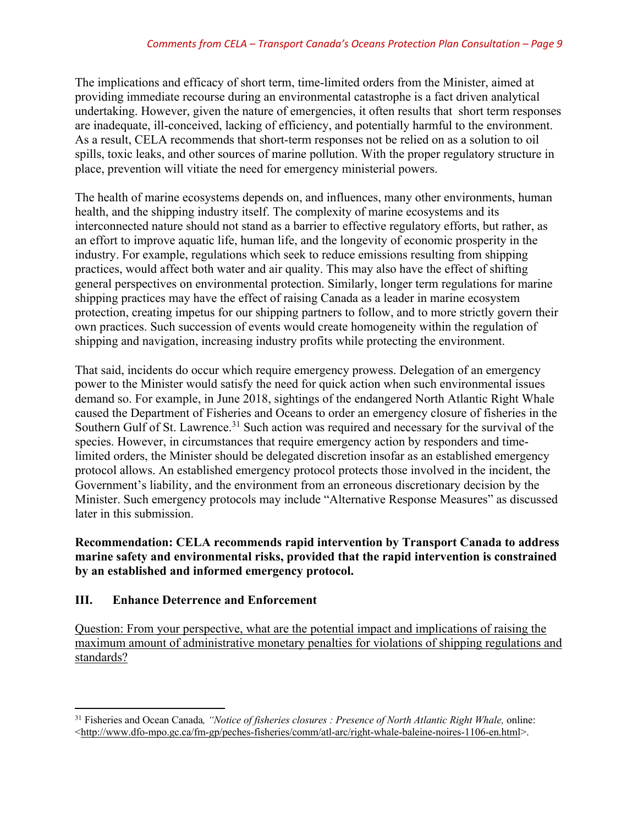The implications and efficacy of short term, time-limited orders from the Minister, aimed at providing immediate recourse during an environmental catastrophe is a fact driven analytical undertaking. However, given the nature of emergencies, it often results that short term responses are inadequate, ill-conceived, lacking of efficiency, and potentially harmful to the environment. As a result, CELA recommends that short-term responses not be relied on as a solution to oil spills, toxic leaks, and other sources of marine pollution. With the proper regulatory structure in place, prevention will vitiate the need for emergency ministerial powers.

The health of marine ecosystems depends on, and influences, many other environments, human health, and the shipping industry itself. The complexity of marine ecosystems and its interconnected nature should not stand as a barrier to effective regulatory efforts, but rather, as an effort to improve aquatic life, human life, and the longevity of economic prosperity in the industry. For example, regulations which seek to reduce emissions resulting from shipping practices, would affect both water and air quality. This may also have the effect of shifting general perspectives on environmental protection. Similarly, longer term regulations for marine shipping practices may have the effect of raising Canada as a leader in marine ecosystem protection, creating impetus for our shipping partners to follow, and to more strictly govern their own practices. Such succession of events would create homogeneity within the regulation of shipping and navigation, increasing industry profits while protecting the environment.

That said, incidents do occur which require emergency prowess. Delegation of an emergency power to the Minister would satisfy the need for quick action when such environmental issues demand so. For example, in June 2018, sightings of the endangered North Atlantic Right Whale caused the Department of Fisheries and Oceans to order an emergency closure of fisheries in the Southern Gulf of St. Lawrence.<sup>31</sup> Such action was required and necessary for the survival of the species. However, in circumstances that require emergency action by responders and timelimited orders, the Minister should be delegated discretion insofar as an established emergency protocol allows. An established emergency protocol protects those involved in the incident, the Government's liability, and the environment from an erroneous discretionary decision by the Minister. Such emergency protocols may include "Alternative Response Measures" as discussed later in this submission.

## **Recommendation: CELA recommends rapid intervention by Transport Canada to address marine safety and environmental risks, provided that the rapid intervention is constrained by an established and informed emergency protocol.**

## **III. Enhance Deterrence and Enforcement**

Question: From your perspective, what are the potential impact and implications of raising the maximum amount of administrative monetary penalties for violations of shipping regulations and standards?

 $\overline{\phantom{a}}$ <sup>31</sup> Fisheries and Ocean Canada*, "Notice of fisheries closures : Presence of North Atlantic Right Whale,* online:  $\langle$ http://www.dfo-mpo.gc.ca/fm-gp/peches-fisheries/comm/atl-arc/right-whale-baleine-noires-1106-en.html>.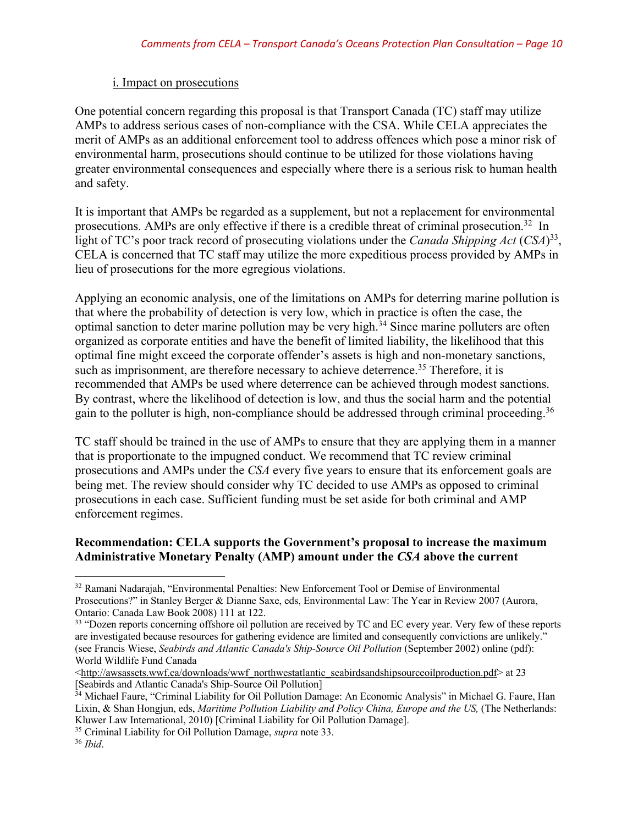#### i. Impact on prosecutions

One potential concern regarding this proposal is that Transport Canada (TC) staff may utilize AMPs to address serious cases of non-compliance with the CSA. While CELA appreciates the merit of AMPs as an additional enforcement tool to address offences which pose a minor risk of environmental harm, prosecutions should continue to be utilized for those violations having greater environmental consequences and especially where there is a serious risk to human health and safety.

It is important that AMPs be regarded as a supplement, but not a replacement for environmental prosecutions. AMPs are only effective if there is a credible threat of criminal prosecution.32 In light of TC's poor track record of prosecuting violations under the *Canada Shipping Act* (*CSA*)33, CELA is concerned that TC staff may utilize the more expeditious process provided by AMPs in lieu of prosecutions for the more egregious violations.

Applying an economic analysis, one of the limitations on AMPs for deterring marine pollution is that where the probability of detection is very low, which in practice is often the case, the optimal sanction to deter marine pollution may be very high.<sup>34</sup> Since marine polluters are often organized as corporate entities and have the benefit of limited liability, the likelihood that this optimal fine might exceed the corporate offender's assets is high and non-monetary sanctions, such as imprisonment, are therefore necessary to achieve deterrence.<sup>35</sup> Therefore, it is recommended that AMPs be used where deterrence can be achieved through modest sanctions. By contrast, where the likelihood of detection is low, and thus the social harm and the potential gain to the polluter is high, non-compliance should be addressed through criminal proceeding.<sup>36</sup>

TC staff should be trained in the use of AMPs to ensure that they are applying them in a manner that is proportionate to the impugned conduct. We recommend that TC review criminal prosecutions and AMPs under the *CSA* every five years to ensure that its enforcement goals are being met. The review should consider why TC decided to use AMPs as opposed to criminal prosecutions in each case. Sufficient funding must be set aside for both criminal and AMP enforcement regimes.

#### **Recommendation: CELA supports the Government's proposal to increase the maximum Administrative Monetary Penalty (AMP) amount under the** *CSA* **above the current**

<sup>&</sup>lt;sup>32</sup> Ramani Nadarajah, "Environmental Penalties: New Enforcement Tool or Demise of Environmental Prosecutions?" in Stanley Berger & Dianne Saxe, eds, Environmental Law: The Year in Review 2007 (Aurora, Ontario: Canada Law Book 2008) 111 at 122.

<sup>&</sup>lt;sup>33</sup> "Dozen reports concerning offshore oil pollution are received by TC and EC every year. Very few of these reports are investigated because resources for gathering evidence are limited and consequently convictions are unlikely." (see Francis Wiese, *Seabirds and Atlantic Canada's Ship-Source Oil Pollution* (September 2002) online (pdf): World Wildlife Fund Canada

<sup>&</sup>lt;http://awsassets.wwf.ca/downloads/wwf\_northwestatlantic\_seabirdsandshipsourceoilproduction.pdf> at 23<br>
[Seabirds and Atlantic Canada's Ship-Source Oil Pollution]

<sup>&</sup>lt;sup>34</sup> Michael Faure, "Criminal Liability for Oil Pollution Damage: An Economic Analysis" in Michael G. Faure, Han Lixin, & Shan Hongjun, eds, *Maritime Pollution Liability and Policy China, Europe and the US*, (The Netherlands: Kluwer Law International, 2010) [Criminal Liability for Oil Pollution Damage].

<sup>35</sup> Criminal Liability for Oil Pollution Damage, *supra* note 33. 36 *Ibid*.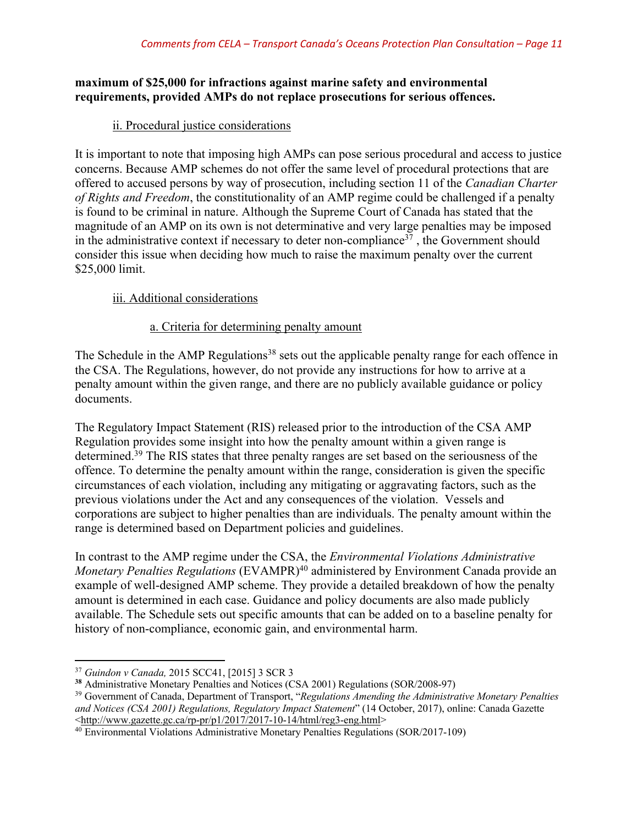## **maximum of \$25,000 for infractions against marine safety and environmental requirements, provided AMPs do not replace prosecutions for serious offences.**

## ii. Procedural justice considerations

It is important to note that imposing high AMPs can pose serious procedural and access to justice concerns. Because AMP schemes do not offer the same level of procedural protections that are offered to accused persons by way of prosecution, including section 11 of the *Canadian Charter of Rights and Freedom*, the constitutionality of an AMP regime could be challenged if a penalty is found to be criminal in nature. Although the Supreme Court of Canada has stated that the magnitude of an AMP on its own is not determinative and very large penalties may be imposed in the administrative context if necessary to deter non-compliance<sup>37</sup>, the Government should consider this issue when deciding how much to raise the maximum penalty over the current \$25,000 limit.

## iii. Additional considerations

## a. Criteria for determining penalty amount

The Schedule in the AMP Regulations<sup>38</sup> sets out the applicable penalty range for each offence in the CSA. The Regulations, however, do not provide any instructions for how to arrive at a penalty amount within the given range, and there are no publicly available guidance or policy documents.

The Regulatory Impact Statement (RIS) released prior to the introduction of the CSA AMP Regulation provides some insight into how the penalty amount within a given range is determined.39 The RIS states that three penalty ranges are set based on the seriousness of the offence. To determine the penalty amount within the range, consideration is given the specific circumstances of each violation, including any mitigating or aggravating factors, such as the previous violations under the Act and any consequences of the violation. Vessels and corporations are subject to higher penalties than are individuals. The penalty amount within the range is determined based on Department policies and guidelines.

In contrast to the AMP regime under the CSA, the *Environmental Violations Administrative Monetary Penalties Regulations* (EVAMPR)<sup>40</sup> administered by Environment Canada provide an example of well-designed AMP scheme. They provide a detailed breakdown of how the penalty amount is determined in each case. Guidance and policy documents are also made publicly available. The Schedule sets out specific amounts that can be added on to a baseline penalty for history of non-compliance, economic gain, and environmental harm.

l <sup>37</sup> *Guindon v Canada,* 2015 SCC41, [2015] 3 SCR 3

**<sup>38</sup>** Administrative Monetary Penalties and Notices (CSA 2001) Regulations (SOR/2008-97)

<sup>39</sup> Government of Canada, Department of Transport, "*Regulations Amending the Administrative Monetary Penalties and Notices (CSA 2001) Regulations, Regulatory Impact Statement*" (14 October, 2017), online: Canada Gazette

 $40$  Environmental Violations Administrative Monetary Penalties Regulations (SOR/2017-109)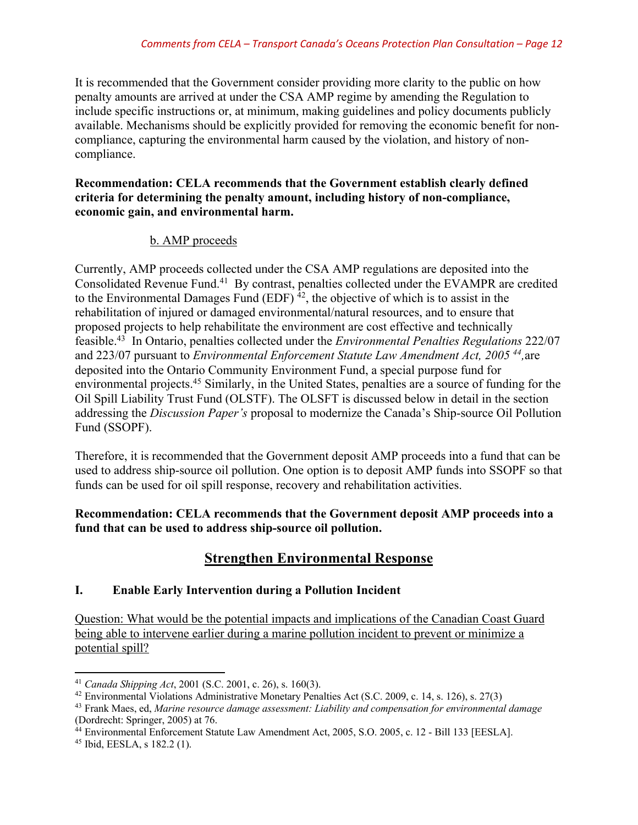It is recommended that the Government consider providing more clarity to the public on how penalty amounts are arrived at under the CSA AMP regime by amending the Regulation to include specific instructions or, at minimum, making guidelines and policy documents publicly available. Mechanisms should be explicitly provided for removing the economic benefit for noncompliance, capturing the environmental harm caused by the violation, and history of noncompliance.

#### **Recommendation: CELA recommends that the Government establish clearly defined criteria for determining the penalty amount, including history of non-compliance, economic gain, and environmental harm.**

## b. AMP proceeds

Currently, AMP proceeds collected under the CSA AMP regulations are deposited into the Consolidated Revenue Fund.41 By contrast, penalties collected under the EVAMPR are credited to the Environmental Damages Fund  $(EDF)^{4_2}$ , the objective of which is to assist in the rehabilitation of injured or damaged environmental/natural resources, and to ensure that proposed projects to help rehabilitate the environment are cost effective and technically feasible.43 In Ontario, penalties collected under the *Environmental Penalties Regulations* 222/07 and 223/07 pursuant to *Environmental Enforcement Statute Law Amendment Act, 2005 44,*are deposited into the Ontario Community Environment Fund, a special purpose fund for environmental projects.45 Similarly, in the United States, penalties are a source of funding for the Oil Spill Liability Trust Fund (OLSTF). The OLSFT is discussed below in detail in the section addressing the *Discussion Paper's* proposal to modernize the Canada's Ship-source Oil Pollution Fund (SSOPF).

Therefore, it is recommended that the Government deposit AMP proceeds into a fund that can be used to address ship-source oil pollution. One option is to deposit AMP funds into SSOPF so that funds can be used for oil spill response, recovery and rehabilitation activities.

**Recommendation: CELA recommends that the Government deposit AMP proceeds into a fund that can be used to address ship-source oil pollution.**

## **Strengthen Environmental Response**

## **I. Enable Early Intervention during a Pollution Incident**

Question: What would be the potential impacts and implications of the Canadian Coast Guard being able to intervene earlier during a marine pollution incident to prevent or minimize a potential spill?

l <sup>41</sup> *Canada Shipping Act*, 2001 (S.C. 2001, c. 26), s. 160(3).

<sup>42</sup> Environmental Violations Administrative Monetary Penalties Act (S.C. 2009, c. 14, s. 126), s. 27(3)

<sup>43</sup> Frank Maes, ed, *Marine resource damage assessment: Liability and compensation for environmental damage*  (Dordrecht: Springer, 2005) at 76.

<sup>&</sup>lt;sup>44</sup> Environmental Enforcement Statute Law Amendment Act, 2005, S.O. 2005, c. 12 - Bill 133 [EESLA].

<sup>45</sup> Ibid, EESLA, s 182.2 (1).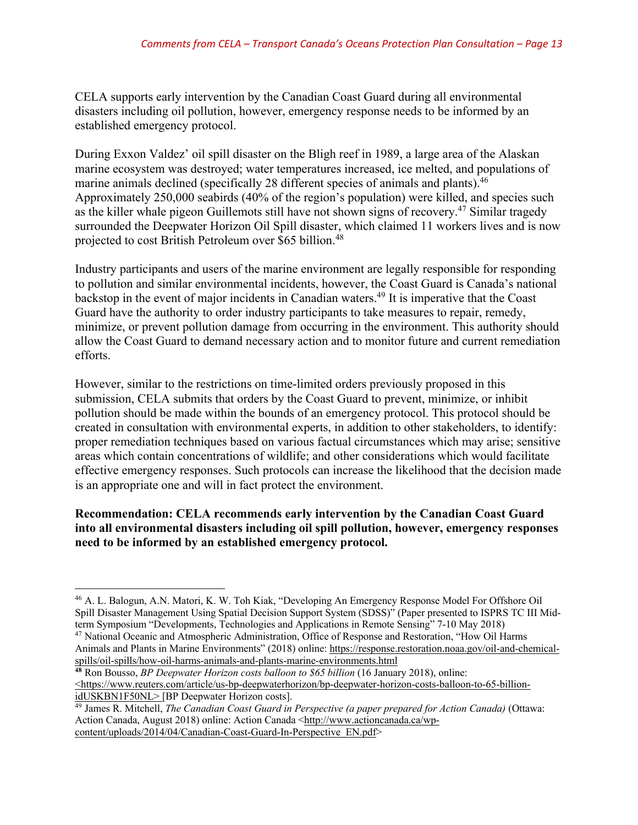CELA supports early intervention by the Canadian Coast Guard during all environmental disasters including oil pollution, however, emergency response needs to be informed by an established emergency protocol.

During Exxon Valdez' oil spill disaster on the Bligh reef in 1989, a large area of the Alaskan marine ecosystem was destroyed; water temperatures increased, ice melted, and populations of marine animals declined (specifically 28 different species of animals and plants).<sup>46</sup> Approximately 250,000 seabirds (40% of the region's population) were killed, and species such as the killer whale pigeon Guillemots still have not shown signs of recovery.<sup>47</sup> Similar tragedy surrounded the Deepwater Horizon Oil Spill disaster, which claimed 11 workers lives and is now projected to cost British Petroleum over \$65 billion.<sup>48</sup>

Industry participants and users of the marine environment are legally responsible for responding to pollution and similar environmental incidents, however, the Coast Guard is Canada's national backstop in the event of major incidents in Canadian waters.49 It is imperative that the Coast Guard have the authority to order industry participants to take measures to repair, remedy, minimize, or prevent pollution damage from occurring in the environment. This authority should allow the Coast Guard to demand necessary action and to monitor future and current remediation efforts.

However, similar to the restrictions on time-limited orders previously proposed in this submission, CELA submits that orders by the Coast Guard to prevent, minimize, or inhibit pollution should be made within the bounds of an emergency protocol. This protocol should be created in consultation with environmental experts, in addition to other stakeholders, to identify: proper remediation techniques based on various factual circumstances which may arise; sensitive areas which contain concentrations of wildlife; and other considerations which would facilitate effective emergency responses. Such protocols can increase the likelihood that the decision made is an appropriate one and will in fact protect the environment.

**Recommendation: CELA recommends early intervention by the Canadian Coast Guard into all environmental disasters including oil spill pollution, however, emergency responses need to be informed by an established emergency protocol.**

<sup>46</sup> A. L. Balogun, A.N. Matori, K. W. Toh Kiak, "Developing An Emergency Response Model For Offshore Oil Spill Disaster Management Using Spatial Decision Support System (SDSS)" (Paper presented to ISPRS TC III Mid-<br>term Symposium "Developments, Technologies and Applications in Remote Sensing" 7-10 May 2018)

<sup>&</sup>lt;sup>47</sup> National Oceanic and Atmospheric Administration, Office of Response and Restoration, "How Oil Harms Animals and Plants in Marine Environments" (2018) online: https://response.restoration.noaa.gov/oil-and-chemicalspills/oil-spills/how-oil-harms-animals-and-plants-marine-environments.html

**<sup>48</sup>** Ron Bousso, *BP Deepwater Horizon costs balloon to \$65 billion* (16 January 2018), online: <https://www.reuters.com/article/us-bp-deepwaterhorizon/bp-deepwater-horizon-costs-balloon-to-65-billionidUSKBN1F50NL> [BP Deepwater Horizon costs].

<sup>49</sup> James R. Mitchell, *The Canadian Coast Guard in Perspective (a paper prepared for Action Canada)* (Ottawa: Action Canada, August 2018) online: Action Canada <http://www.actioncanada.ca/wpcontent/uploads/2014/04/Canadian-Coast-Guard-In-Perspective\_EN.pdf>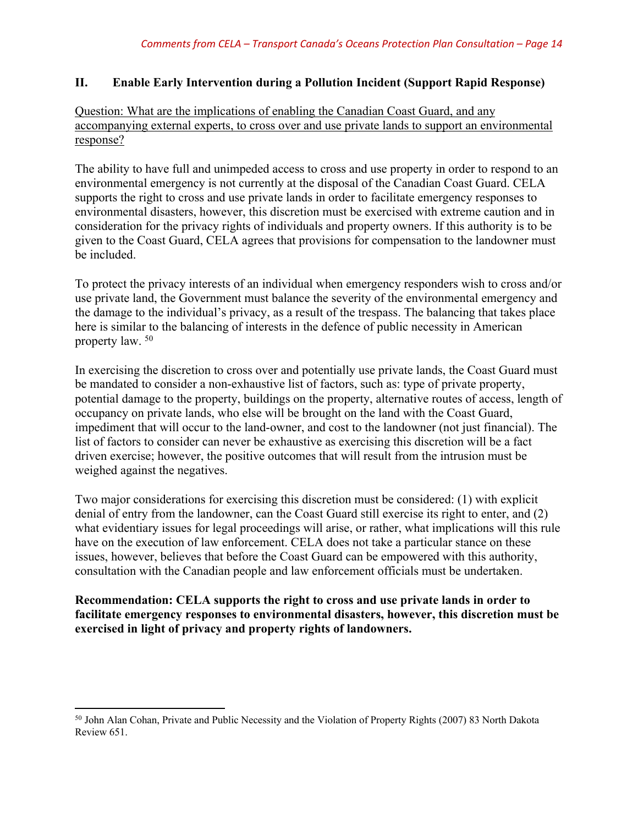#### **II. Enable Early Intervention during a Pollution Incident (Support Rapid Response)**

## Question: What are the implications of enabling the Canadian Coast Guard, and any accompanying external experts, to cross over and use private lands to support an environmental response?

The ability to have full and unimpeded access to cross and use property in order to respond to an environmental emergency is not currently at the disposal of the Canadian Coast Guard. CELA supports the right to cross and use private lands in order to facilitate emergency responses to environmental disasters, however, this discretion must be exercised with extreme caution and in consideration for the privacy rights of individuals and property owners. If this authority is to be given to the Coast Guard, CELA agrees that provisions for compensation to the landowner must be included.

To protect the privacy interests of an individual when emergency responders wish to cross and/or use private land, the Government must balance the severity of the environmental emergency and the damage to the individual's privacy, as a result of the trespass. The balancing that takes place here is similar to the balancing of interests in the defence of public necessity in American property law. 50

In exercising the discretion to cross over and potentially use private lands, the Coast Guard must be mandated to consider a non-exhaustive list of factors, such as: type of private property, potential damage to the property, buildings on the property, alternative routes of access, length of occupancy on private lands, who else will be brought on the land with the Coast Guard, impediment that will occur to the land-owner, and cost to the landowner (not just financial). The list of factors to consider can never be exhaustive as exercising this discretion will be a fact driven exercise; however, the positive outcomes that will result from the intrusion must be weighed against the negatives.

Two major considerations for exercising this discretion must be considered: (1) with explicit denial of entry from the landowner, can the Coast Guard still exercise its right to enter, and (2) what evidentiary issues for legal proceedings will arise, or rather, what implications will this rule have on the execution of law enforcement. CELA does not take a particular stance on these issues, however, believes that before the Coast Guard can be empowered with this authority, consultation with the Canadian people and law enforcement officials must be undertaken.

**Recommendation: CELA supports the right to cross and use private lands in order to facilitate emergency responses to environmental disasters, however, this discretion must be exercised in light of privacy and property rights of landowners.**

 $\overline{\phantom{a}}$ 

<sup>50</sup> John Alan Cohan, Private and Public Necessity and the Violation of Property Rights (2007) 83 North Dakota Review 651.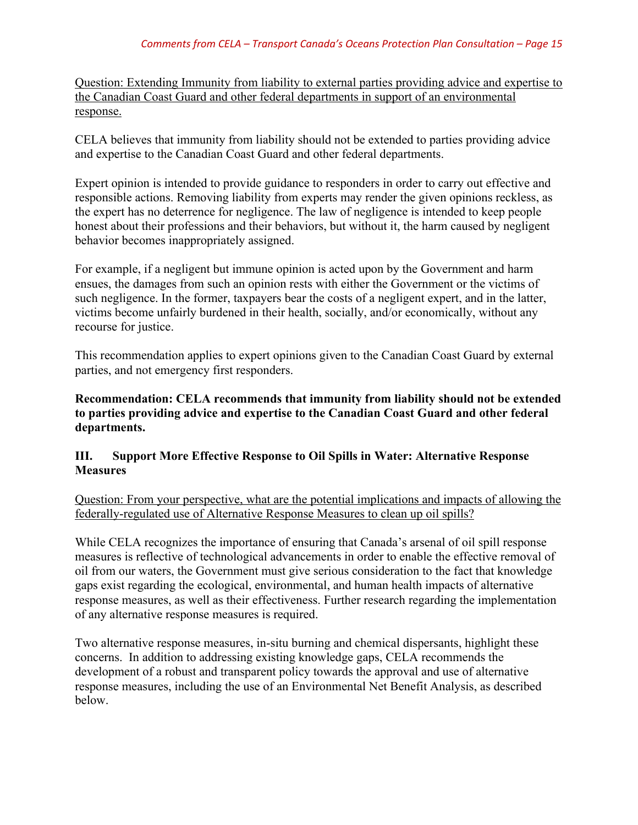Question: Extending Immunity from liability to external parties providing advice and expertise to the Canadian Coast Guard and other federal departments in support of an environmental response.

CELA believes that immunity from liability should not be extended to parties providing advice and expertise to the Canadian Coast Guard and other federal departments.

Expert opinion is intended to provide guidance to responders in order to carry out effective and responsible actions. Removing liability from experts may render the given opinions reckless, as the expert has no deterrence for negligence. The law of negligence is intended to keep people honest about their professions and their behaviors, but without it, the harm caused by negligent behavior becomes inappropriately assigned.

For example, if a negligent but immune opinion is acted upon by the Government and harm ensues, the damages from such an opinion rests with either the Government or the victims of such negligence. In the former, taxpayers bear the costs of a negligent expert, and in the latter, victims become unfairly burdened in their health, socially, and/or economically, without any recourse for justice.

This recommendation applies to expert opinions given to the Canadian Coast Guard by external parties, and not emergency first responders.

**Recommendation: CELA recommends that immunity from liability should not be extended to parties providing advice and expertise to the Canadian Coast Guard and other federal departments.** 

## **III. Support More Effective Response to Oil Spills in Water: Alternative Response Measures**

Question: From your perspective, what are the potential implications and impacts of allowing the federally-regulated use of Alternative Response Measures to clean up oil spills?

While CELA recognizes the importance of ensuring that Canada's arsenal of oil spill response measures is reflective of technological advancements in order to enable the effective removal of oil from our waters, the Government must give serious consideration to the fact that knowledge gaps exist regarding the ecological, environmental, and human health impacts of alternative response measures, as well as their effectiveness. Further research regarding the implementation of any alternative response measures is required.

Two alternative response measures, in-situ burning and chemical dispersants, highlight these concerns. In addition to addressing existing knowledge gaps, CELA recommends the development of a robust and transparent policy towards the approval and use of alternative response measures, including the use of an Environmental Net Benefit Analysis, as described below.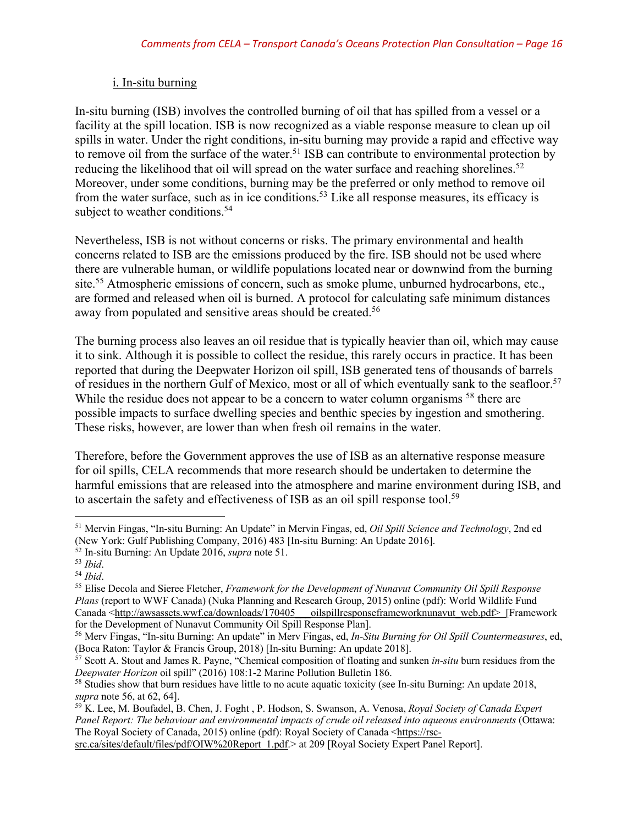#### i. In-situ burning

In-situ burning (ISB) involves the controlled burning of oil that has spilled from a vessel or a facility at the spill location. ISB is now recognized as a viable response measure to clean up oil spills in water. Under the right conditions, in-situ burning may provide a rapid and effective way to remove oil from the surface of the water.<sup>51</sup> ISB can contribute to environmental protection by reducing the likelihood that oil will spread on the water surface and reaching shorelines.<sup>52</sup> Moreover, under some conditions, burning may be the preferred or only method to remove oil from the water surface, such as in ice conditions.53 Like all response measures, its efficacy is subject to weather conditions.<sup>54</sup>

Nevertheless, ISB is not without concerns or risks. The primary environmental and health concerns related to ISB are the emissions produced by the fire. ISB should not be used where there are vulnerable human, or wildlife populations located near or downwind from the burning site.<sup>55</sup> Atmospheric emissions of concern, such as smoke plume, unburned hydrocarbons, etc., are formed and released when oil is burned. A protocol for calculating safe minimum distances away from populated and sensitive areas should be created.<sup>56</sup>

The burning process also leaves an oil residue that is typically heavier than oil, which may cause it to sink. Although it is possible to collect the residue, this rarely occurs in practice. It has been reported that during the Deepwater Horizon oil spill, ISB generated tens of thousands of barrels of residues in the northern Gulf of Mexico, most or all of which eventually sank to the seafloor.<sup>57</sup> While the residue does not appear to be a concern to water column organisms <sup>58</sup> there are possible impacts to surface dwelling species and benthic species by ingestion and smothering. These risks, however, are lower than when fresh oil remains in the water.

Therefore, before the Government approves the use of ISB as an alternative response measure for oil spills, CELA recommends that more research should be undertaken to determine the harmful emissions that are released into the atmosphere and marine environment during ISB, and to ascertain the safety and effectiveness of ISB as an oil spill response tool.<sup>59</sup>

<sup>51</sup> Mervin Fingas, "In-situ Burning: An Update" in Mervin Fingas, ed, *Oil Spill Science and Technology*, 2nd ed (New York: Gulf Publishing Company, 2016) 483 [In-situ Burning: An Update 2016].

<sup>52</sup> In-situ Burning: An Update 2016, *supra* note 51.

<sup>53</sup> *Ibid*. 54 *Ibid*. 55 Elise Decola and Sieree Fletcher, *Framework for the Development of Nunavut Community Oil Spill Response Plans* (report to WWF Canada) (Nuka Planning and Research Group, 2015) online (pdf): World Wildlife Fund Canada <http://awsassets.wwf.ca/downloads/170405 oilspillresponseframeworknunavut\_web.pdf> [Framework] for the Development of Nunavut Community Oil Spill Response Plan].

<sup>56</sup> Merv Fingas, "In-situ Burning: An update" in Merv Fingas, ed, *In-Situ Burning for Oil Spill Countermeasures*, ed, (Boca Raton: Taylor & Francis Group, 2018) [In-situ Burning: An update 2018].

<sup>57</sup> Scott A. Stout and James R. Payne, "Chemical composition of floating and sunken *in-situ* burn residues from the *Deepwater Horizon* oil spill" (2016) 108:1-2 Marine Pollution Bulletin 186.

<sup>&</sup>lt;sup>58</sup> Studies show that burn residues have little to no acute aquatic toxicity (see In-situ Burning: An update 2018, *supra* note 56, at 62, 64].

<sup>59</sup> K. Lee, M. Boufadel, B. Chen, J. Foght , P. Hodson, S. Swanson, A. Venosa, *Royal Society of Canada Expert Panel Report: The behaviour and environmental impacts of crude oil released into aqueous environments* (Ottawa: The Royal Society of Canada, 2015) online (pdf): Royal Society of Canada <https://rsc-

src.ca/sites/default/files/pdf/OIW%20Report\_1.pdf.> at 209 [Royal Society Expert Panel Report].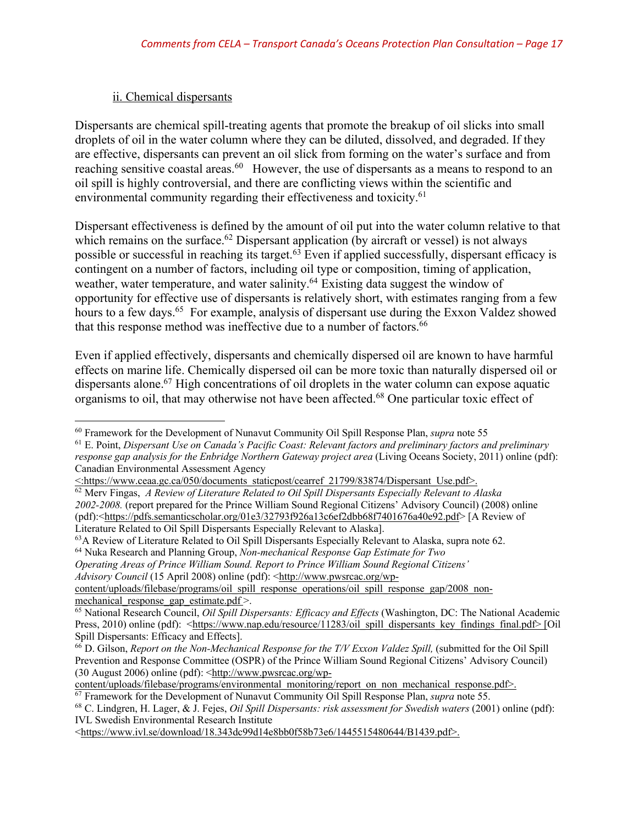## ii. Chemical dispersants

Dispersants are chemical spill-treating agents that promote the breakup of oil slicks into small droplets of oil in the water column where they can be diluted, dissolved, and degraded. If they are effective, dispersants can prevent an oil slick from forming on the water's surface and from reaching sensitive coastal areas.<sup>60</sup> However, the use of dispersants as a means to respond to an oil spill is highly controversial, and there are conflicting views within the scientific and environmental community regarding their effectiveness and toxicity.<sup>61</sup>

Dispersant effectiveness is defined by the amount of oil put into the water column relative to that which remains on the surface.<sup>62</sup> Dispersant application (by aircraft or vessel) is not always possible or successful in reaching its target.<sup>63</sup> Even if applied successfully, dispersant efficacy is contingent on a number of factors, including oil type or composition, timing of application, weather, water temperature, and water salinity.64 Existing data suggest the window of opportunity for effective use of dispersants is relatively short, with estimates ranging from a few hours to a few days.<sup>65</sup> For example, analysis of dispersant use during the Exxon Valdez showed that this response method was ineffective due to a number of factors.<sup>66</sup>

Even if applied effectively, dispersants and chemically dispersed oil are known to have harmful effects on marine life. Chemically dispersed oil can be more toxic than naturally dispersed oil or dispersants alone.<sup>67</sup> High concentrations of oil droplets in the water column can expose aquatic organisms to oil, that may otherwise not have been affected.68 One particular toxic effect of

*Operating Areas of Prince William Sound. Report to Prince William Sound Regional Citizens'*

*Advisory Council* (15 April 2008) online (pdf): <http://www.pwsrcac.org/wp-

content/uploads/filebase/programs/oil\_spill\_response\_operations/oil\_spill\_response\_gap/2008\_nonmechanical response gap estimate.pdf >.

<https://www.ivl.se/download/18.343dc99d14e8bb0f58b73e6/1445515480644/B1439.pdf>.

 $\overline{\phantom{a}}$ <sup>60</sup> Framework for the Development of Nunavut Community Oil Spill Response Plan, *supra* note 55

<sup>61</sup> E. Point, *Dispersant Use on Canada's Pacific Coast: Relevant factors and preliminary factors and preliminary response gap analysis for the Enbridge Northern Gateway project area* (Living Oceans Society, 2011) online (pdf): Canadian Environmental Assessment Agency

<sup>&</sup>lt;:https://www.ceaa.gc.ca/050/documents\_staticpost/cearref\_21799/83874/Dispersant\_Use.pdf>.

<sup>62</sup> Merv Fingas, *A Review of Literature Related to Oil Spill Dispersants Especially Relevant to Alaska 2002-2008.* (report prepared for the Prince William Sound Regional Citizens' Advisory Council) (2008) online (pdf):<https://pdfs.semanticscholar.org/01e3/32793f926a13c6ef2dbb68f7401676a40e92.pdf> [A Review of Literature Related to Oil Spill Dispersants Especially Relevant to Alaska].

<sup>63</sup>A Review of Literature Related to Oil Spill Dispersants Especially Relevant to Alaska, supra note 62. <sup>64</sup> Nuka Research and Planning Group, *Non-mechanical Response Gap Estimate for Two*

<sup>65</sup> National Research Council, *Oil Spill Dispersants: Efficacy and Effects* (Washington, DC: The National Academic Press, 2010) online (pdf): <https://www.nap.edu/resource/11283/oil\_spill\_dispersants\_key\_findings\_final.pdf> [Oil\_ Spill Dispersants: Efficacy and Effects].

<sup>66</sup> D. Gilson, *Report on the Non-Mechanical Response for the T/V Exxon Valdez Spill,* (submitted for the Oil Spill Prevention and Response Committee (OSPR) of the Prince William Sound Regional Citizens' Advisory Council) (30 August 2006) online (pdf): <http://www.pwsrcac.org/wp-

content/uploads/filebase/programs/environmental\_monitoring/report\_on\_non\_mechanical\_response.pdf>.

<sup>67</sup> Framework for the Development of Nunavut Community Oil Spill Response Plan, *supra* note 55. <sup>68</sup> C. Lindgren, H. Lager, & J. Fejes, *Oil Spill Dispersants: risk assessment for Swedish waters* (2001) online (pdf): IVL Swedish Environmental Research Institute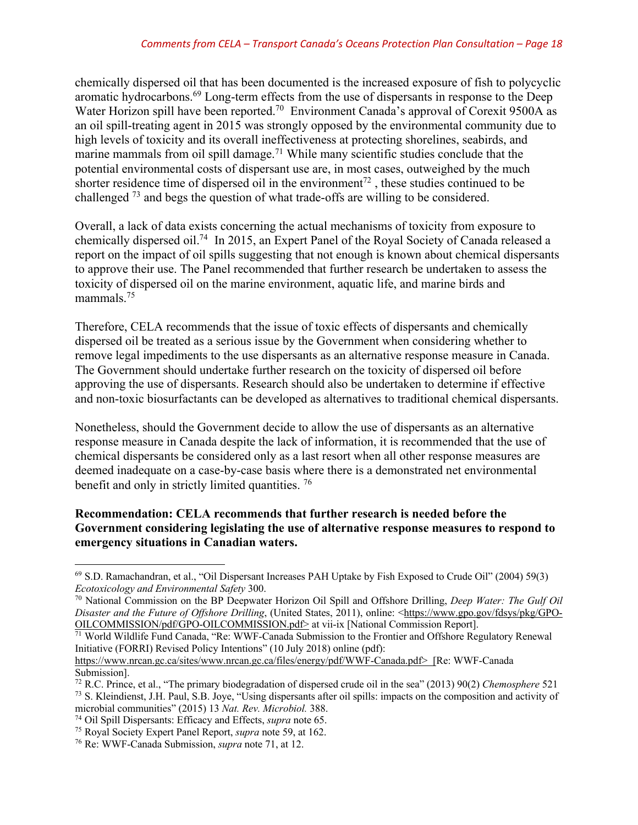chemically dispersed oil that has been documented is the increased exposure of fish to polycyclic aromatic hydrocarbons.69 Long-term effects from the use of dispersants in response to the Deep Water Horizon spill have been reported.<sup>70</sup> Environment Canada's approval of Corexit 9500A as an oil spill-treating agent in 2015 was strongly opposed by the environmental community due to high levels of toxicity and its overall ineffectiveness at protecting shorelines, seabirds, and marine mammals from oil spill damage.<sup>71</sup> While many scientific studies conclude that the potential environmental costs of dispersant use are, in most cases, outweighed by the much shorter residence time of dispersed oil in the environment<sup>72</sup>, these studies continued to be challenged 73 and begs the question of what trade-offs are willing to be considered.

Overall, a lack of data exists concerning the actual mechanisms of toxicity from exposure to chemically dispersed oil.<sup>74</sup> In 2015, an Expert Panel of the Royal Society of Canada released a report on the impact of oil spills suggesting that not enough is known about chemical dispersants to approve their use. The Panel recommended that further research be undertaken to assess the toxicity of dispersed oil on the marine environment, aquatic life, and marine birds and mammals.<sup>75</sup>

Therefore, CELA recommends that the issue of toxic effects of dispersants and chemically dispersed oil be treated as a serious issue by the Government when considering whether to remove legal impediments to the use dispersants as an alternative response measure in Canada. The Government should undertake further research on the toxicity of dispersed oil before approving the use of dispersants. Research should also be undertaken to determine if effective and non-toxic biosurfactants can be developed as alternatives to traditional chemical dispersants.

Nonetheless, should the Government decide to allow the use of dispersants as an alternative response measure in Canada despite the lack of information, it is recommended that the use of chemical dispersants be considered only as a last resort when all other response measures are deemed inadequate on a case-by-case basis where there is a demonstrated net environmental benefit and only in strictly limited quantities.<sup>76</sup>

## **Recommendation: CELA recommends that further research is needed before the Government considering legislating the use of alternative response measures to respond to emergency situations in Canadian waters.**

 $\overline{\phantom{a}}$ 

<sup>69</sup> S.D. Ramachandran, et al., "Oil Dispersant Increases PAH Uptake by Fish Exposed to Crude Oil" (2004) 59(3) *Ecotoxicology and Environmental Safety* 300.

<sup>70</sup> National Commission on the BP Deepwater Horizon Oil Spill and Offshore Drilling, *Deep Water: The Gulf Oil Disaster and the Future of Offshore Drilling*, (United States, 2011), online: <https://www.gpo.gov/fdsys/pkg/GPO-OILCOMMISSION.pdf> at vii-ix [National Commission Report].

 $\frac{1}{11}$  World Wildlife Fund Canada, "Re: WWF-Canada Submission to the Frontier and Offshore Regulatory Renewal Initiative (FORRI) Revised Policy Intentions" (10 July 2018) online (pdf):

https://www.nrcan.gc.ca/sites/www.nrcan.gc.ca/files/energy/pdf/WWF-Canada.pdf> [Re: WWF-Canada Submission].

<sup>72</sup> R.C. Prince, et al., "The primary biodegradation of dispersed crude oil in the sea" (2013) 90(2) *Chemosphere* 521 <sup>73</sup> S. Kleindienst, J.H. Paul, S.B. Joye, "Using dispersants after oil spills: impacts on the composition and activity of microbial communities" (2015) 13 *Nat. Rev. Microbiol.* 388.<br><sup>74</sup> Oil Spill Dispersants: Efficacy and Effects, *supra* note 65.

<sup>&</sup>lt;sup>75</sup> Royal Society Expert Panel Report, *supra* note 59, at 162.

<sup>76</sup> Re: WWF-Canada Submission, *supra* note 71, at 12.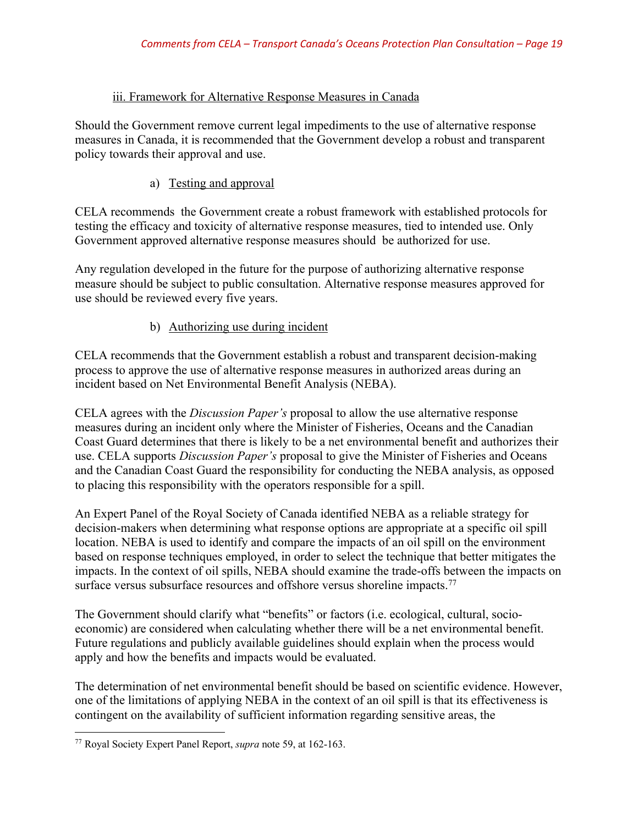## iii. Framework for Alternative Response Measures in Canada

Should the Government remove current legal impediments to the use of alternative response measures in Canada, it is recommended that the Government develop a robust and transparent policy towards their approval and use.

## a) Testing and approval

CELA recommends the Government create a robust framework with established protocols for testing the efficacy and toxicity of alternative response measures, tied to intended use. Only Government approved alternative response measures should be authorized for use.

Any regulation developed in the future for the purpose of authorizing alternative response measure should be subject to public consultation. Alternative response measures approved for use should be reviewed every five years.

## b) Authorizing use during incident

CELA recommends that the Government establish a robust and transparent decision-making process to approve the use of alternative response measures in authorized areas during an incident based on Net Environmental Benefit Analysis (NEBA).

CELA agrees with the *Discussion Paper's* proposal to allow the use alternative response measures during an incident only where the Minister of Fisheries, Oceans and the Canadian Coast Guard determines that there is likely to be a net environmental benefit and authorizes their use. CELA supports *Discussion Paper's* proposal to give the Minister of Fisheries and Oceans and the Canadian Coast Guard the responsibility for conducting the NEBA analysis, as opposed to placing this responsibility with the operators responsible for a spill.

An Expert Panel of the Royal Society of Canada identified NEBA as a reliable strategy for decision-makers when determining what response options are appropriate at a specific oil spill location. NEBA is used to identify and compare the impacts of an oil spill on the environment based on response techniques employed, in order to select the technique that better mitigates the impacts. In the context of oil spills, NEBA should examine the trade-offs between the impacts on surface versus subsurface resources and offshore versus shoreline impacts.<sup>77</sup>

The Government should clarify what "benefits" or factors (i.e. ecological, cultural, socioeconomic) are considered when calculating whether there will be a net environmental benefit. Future regulations and publicly available guidelines should explain when the process would apply and how the benefits and impacts would be evaluated.

The determination of net environmental benefit should be based on scientific evidence. However, one of the limitations of applying NEBA in the context of an oil spill is that its effectiveness is contingent on the availability of sufficient information regarding sensitive areas, the

<sup>77</sup> Royal Society Expert Panel Report, *supra* note 59, at 162-163.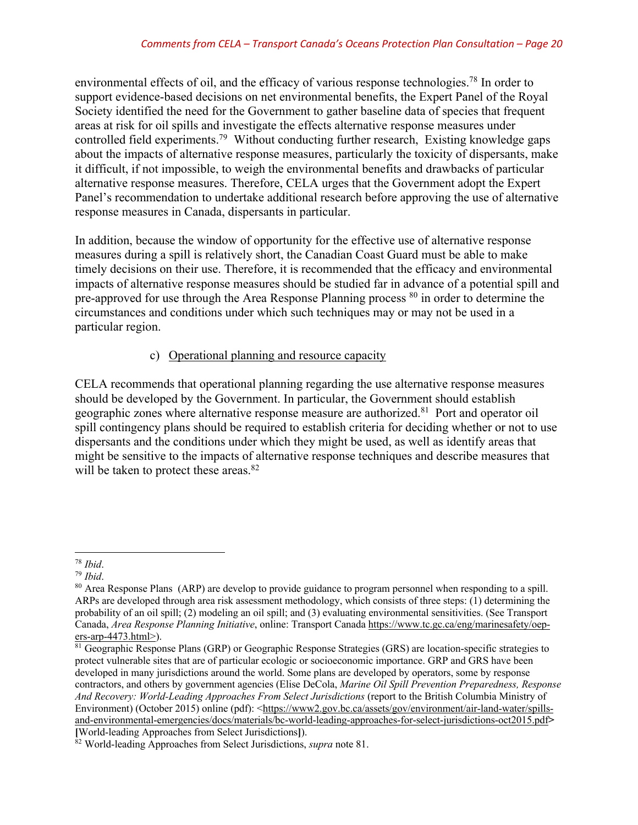environmental effects of oil, and the efficacy of various response technologies.<sup>78</sup> In order to support evidence-based decisions on net environmental benefits, the Expert Panel of the Royal Society identified the need for the Government to gather baseline data of species that frequent areas at risk for oil spills and investigate the effects alternative response measures under controlled field experiments.79 Without conducting further research, Existing knowledge gaps about the impacts of alternative response measures, particularly the toxicity of dispersants, make it difficult, if not impossible, to weigh the environmental benefits and drawbacks of particular alternative response measures. Therefore, CELA urges that the Government adopt the Expert Panel's recommendation to undertake additional research before approving the use of alternative response measures in Canada, dispersants in particular.

In addition, because the window of opportunity for the effective use of alternative response measures during a spill is relatively short, the Canadian Coast Guard must be able to make timely decisions on their use. Therefore, it is recommended that the efficacy and environmental impacts of alternative response measures should be studied far in advance of a potential spill and pre-approved for use through the Area Response Planning process <sup>80</sup> in order to determine the circumstances and conditions under which such techniques may or may not be used in a particular region.

## c) Operational planning and resource capacity

CELA recommends that operational planning regarding the use alternative response measures should be developed by the Government. In particular, the Government should establish geographic zones where alternative response measure are authorized.81 Port and operator oil spill contingency plans should be required to establish criteria for deciding whether or not to use dispersants and the conditions under which they might be used, as well as identify areas that might be sensitive to the impacts of alternative response techniques and describe measures that will be taken to protect these areas.<sup>82</sup>

 $\overline{a}$ 

<sup>&</sup>lt;sup>78</sup> *Ibid.*<br><sup>79</sup> *Ibid.*<br><sup>80</sup> Area Response Plans (ARP) are develop to provide guidance to program personnel when responding to a spill. ARPs are developed through area risk assessment methodology, which consists of three steps: (1) determining the probability of an oil spill; (2) modeling an oil spill; and (3) evaluating environmental sensitivities. (See Transport Canada, *Area Response Planning Initiative*, online: Transport Canada https://www.tc.gc.ca/eng/marinesafety/oepers-arp-4473.html>).

<sup>&</sup>lt;sup>81</sup> Geographic Response Plans (GRP) or Geographic Response Strategies (GRS) are location-specific strategies to protect vulnerable sites that are of particular ecologic or socioeconomic importance. GRP and GRS have been developed in many jurisdictions around the world. Some plans are developed by operators, some by response contractors, and others by government agencies (Elise DeCola, *Marine Oil Spill Prevention Preparedness, Response And Recovery: World-Leading Approaches From Select Jurisdictions* (report to the British Columbia Ministry of Environment) (October 2015) online (pdf): <https://www2.gov.bc.ca/assets/gov/environment/air-land-water/spillsand-environmental-emergencies/docs/materials/bc-world-leading-approaches-for-select-jurisdictions-oct2015.pdf**> [**World-leading Approaches from Select Jurisdictions**]**).

<sup>&</sup>lt;sup>82</sup> World-leading Approaches from Select Jurisdictions, *supra* note 81.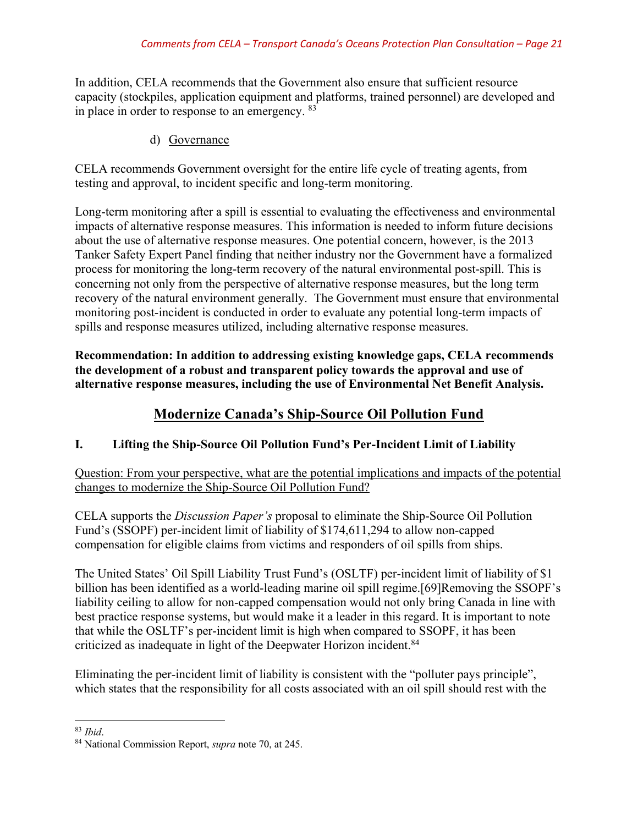In addition, CELA recommends that the Government also ensure that sufficient resource capacity (stockpiles, application equipment and platforms, trained personnel) are developed and in place in order to response to an emergency.  $83$ 

d) Governance

CELA recommends Government oversight for the entire life cycle of treating agents, from testing and approval, to incident specific and long-term monitoring.

Long-term monitoring after a spill is essential to evaluating the effectiveness and environmental impacts of alternative response measures. This information is needed to inform future decisions about the use of alternative response measures. One potential concern, however, is the 2013 Tanker Safety Expert Panel finding that neither industry nor the Government have a formalized process for monitoring the long-term recovery of the natural environmental post-spill. This is concerning not only from the perspective of alternative response measures, but the long term recovery of the natural environment generally. The Government must ensure that environmental monitoring post-incident is conducted in order to evaluate any potential long-term impacts of spills and response measures utilized, including alternative response measures.

**Recommendation: In addition to addressing existing knowledge gaps, CELA recommends the development of a robust and transparent policy towards the approval and use of alternative response measures, including the use of Environmental Net Benefit Analysis.** 

# **Modernize Canada's Ship-Source Oil Pollution Fund**

## **I. Lifting the Ship-Source Oil Pollution Fund's Per-Incident Limit of Liability**

Question: From your perspective, what are the potential implications and impacts of the potential changes to modernize the Ship-Source Oil Pollution Fund?

CELA supports the *Discussion Paper's* proposal to eliminate the Ship-Source Oil Pollution Fund's (SSOPF) per-incident limit of liability of \$174,611,294 to allow non-capped compensation for eligible claims from victims and responders of oil spills from ships.

The United States' Oil Spill Liability Trust Fund's (OSLTF) per-incident limit of liability of \$1 billion has been identified as a world-leading marine oil spill regime.[69]Removing the SSOPF's liability ceiling to allow for non-capped compensation would not only bring Canada in line with best practice response systems, but would make it a leader in this regard. It is important to note that while the OSLTF's per-incident limit is high when compared to SSOPF, it has been criticized as inadequate in light of the Deepwater Horizon incident.<sup>84</sup>

Eliminating the per-incident limit of liability is consistent with the "polluter pays principle", which states that the responsibility for all costs associated with an oil spill should rest with the

l

<sup>83</sup> *Ibid*. 84 National Commission Report, *supra* note 70, at 245.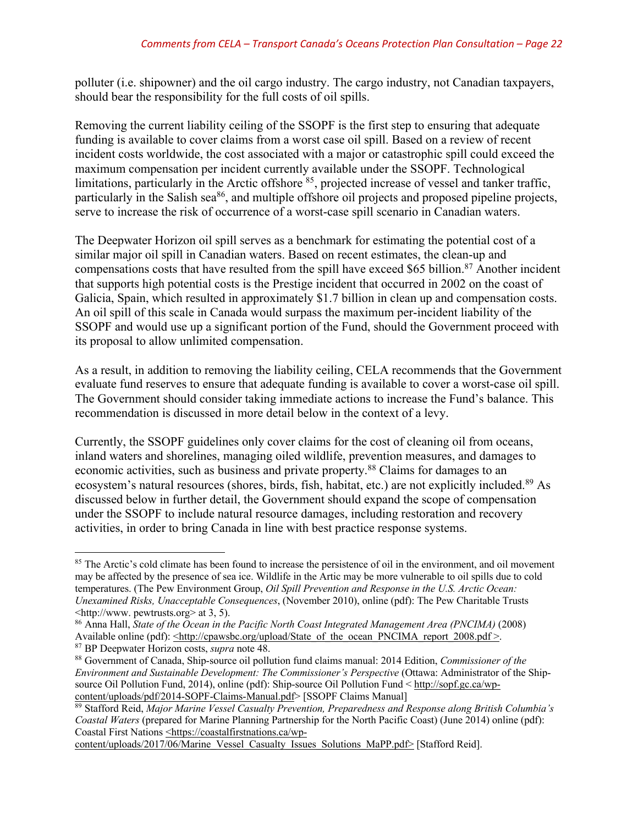polluter (i.e. shipowner) and the oil cargo industry. The cargo industry, not Canadian taxpayers, should bear the responsibility for the full costs of oil spills.

Removing the current liability ceiling of the SSOPF is the first step to ensuring that adequate funding is available to cover claims from a worst case oil spill. Based on a review of recent incident costs worldwide, the cost associated with a major or catastrophic spill could exceed the maximum compensation per incident currently available under the SSOPF. Technological limitations, particularly in the Arctic offshore <sup>85</sup>, projected increase of vessel and tanker traffic, particularly in the Salish sea<sup>86</sup>, and multiple offshore oil projects and proposed pipeline projects, serve to increase the risk of occurrence of a worst-case spill scenario in Canadian waters.

The Deepwater Horizon oil spill serves as a benchmark for estimating the potential cost of a similar major oil spill in Canadian waters. Based on recent estimates, the clean-up and compensations costs that have resulted from the spill have exceed \$65 billion.<sup>87</sup> Another incident that supports high potential costs is the Prestige incident that occurred in 2002 on the coast of Galicia, Spain, which resulted in approximately \$1.7 billion in clean up and compensation costs. An oil spill of this scale in Canada would surpass the maximum per-incident liability of the SSOPF and would use up a significant portion of the Fund, should the Government proceed with its proposal to allow unlimited compensation.

As a result, in addition to removing the liability ceiling, CELA recommends that the Government evaluate fund reserves to ensure that adequate funding is available to cover a worst-case oil spill. The Government should consider taking immediate actions to increase the Fund's balance. This recommendation is discussed in more detail below in the context of a levy.

Currently, the SSOPF guidelines only cover claims for the cost of cleaning oil from oceans, inland waters and shorelines, managing oiled wildlife, prevention measures, and damages to economic activities, such as business and private property.<sup>88</sup> Claims for damages to an ecosystem's natural resources (shores, birds, fish, habitat, etc.) are not explicitly included.<sup>89</sup> As discussed below in further detail, the Government should expand the scope of compensation under the SSOPF to include natural resource damages, including restoration and recovery activities, in order to bring Canada in line with best practice response systems.

 $\overline{a}$ 

<sup>&</sup>lt;sup>85</sup> The Arctic's cold climate has been found to increase the persistence of oil in the environment, and oil movement may be affected by the presence of sea ice. Wildlife in the Artic may be more vulnerable to oil spills due to cold temperatures. (The Pew Environment Group, *Oil Spill Prevention and Response in the U.S. Arctic Ocean: Unexamined Risks, Unacceptable Consequences*, (November 2010), online (pdf): The Pew Charitable Trusts <http://www. pewtrusts.org> at 3, 5).

<sup>86</sup> Anna Hall, *State of the Ocean in the Pacific North Coast Integrated Management Area (PNCIMA)* (2008) Available online (pdf): <http://cpawsbc.org/upload/State\_of\_the\_ocean\_PNCIMA\_report\_2008.pdf >.

<sup>87</sup> BP Deepwater Horizon costs, *supra* note 48.

<sup>88</sup> Government of Canada, Ship-source oil pollution fund claims manual: 2014 Edition, *Commissioner of the Environment and Sustainable Development: The Commissioner's Perspective* (Ottawa: Administrator of the Shipsource Oil Pollution Fund, 2014), online (pdf): Ship-source Oil Pollution Fund < http://sopf.gc.ca/wpcontent/uploads/pdf/2014-SOPF-Claims-Manual.pdf> [SSOPF Claims Manual]

<sup>89</sup> Stafford Reid, *Major Marine Vessel Casualty Prevention, Preparedness and Response along British Columbia's Coastal Waters* (prepared for Marine Planning Partnership for the North Pacific Coast) (June 2014) online (pdf): Coastal First Nations <https://coastalfirstnations.ca/wp-

content/uploads/2017/06/Marine\_Vessel\_Casualty\_Issues\_Solutions\_MaPP.pdf> [Stafford Reid].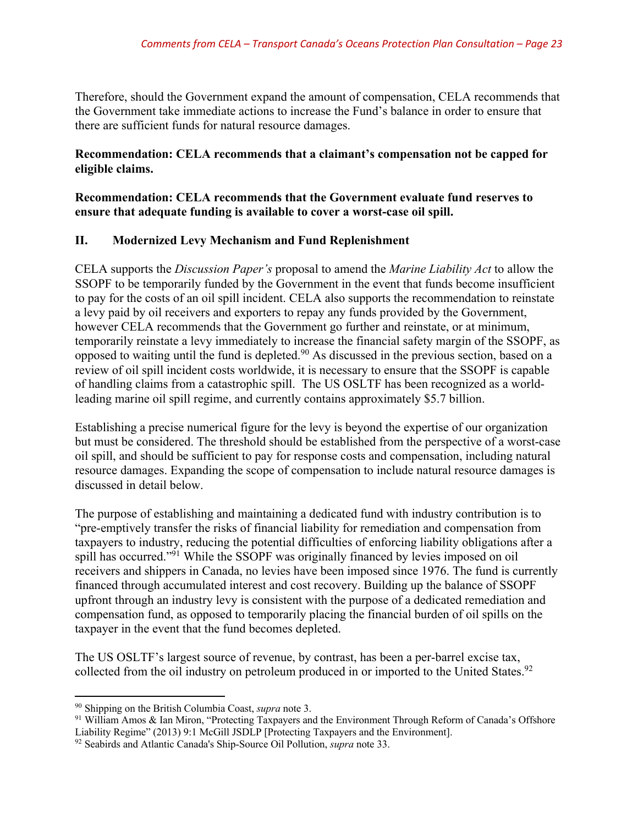Therefore, should the Government expand the amount of compensation, CELA recommends that the Government take immediate actions to increase the Fund's balance in order to ensure that there are sufficient funds for natural resource damages.

#### **Recommendation: CELA recommends that a claimant's compensation not be capped for eligible claims.**

#### **Recommendation: CELA recommends that the Government evaluate fund reserves to ensure that adequate funding is available to cover a worst-case oil spill.**

## **II. Modernized Levy Mechanism and Fund Replenishment**

CELA supports the *Discussion Paper's* proposal to amend the *Marine Liability Act* to allow the SSOPF to be temporarily funded by the Government in the event that funds become insufficient to pay for the costs of an oil spill incident. CELA also supports the recommendation to reinstate a levy paid by oil receivers and exporters to repay any funds provided by the Government, however CELA recommends that the Government go further and reinstate, or at minimum, temporarily reinstate a levy immediately to increase the financial safety margin of the SSOPF, as opposed to waiting until the fund is depleted.90 As discussed in the previous section, based on a review of oil spill incident costs worldwide, it is necessary to ensure that the SSOPF is capable of handling claims from a catastrophic spill. The US OSLTF has been recognized as a worldleading marine oil spill regime, and currently contains approximately \$5.7 billion.

Establishing a precise numerical figure for the levy is beyond the expertise of our organization but must be considered. The threshold should be established from the perspective of a worst-case oil spill, and should be sufficient to pay for response costs and compensation, including natural resource damages. Expanding the scope of compensation to include natural resource damages is discussed in detail below.

The purpose of establishing and maintaining a dedicated fund with industry contribution is to "pre-emptively transfer the risks of financial liability for remediation and compensation from taxpayers to industry, reducing the potential difficulties of enforcing liability obligations after a spill has occurred."<sup>91</sup> While the SSOPF was originally financed by levies imposed on oil receivers and shippers in Canada, no levies have been imposed since 1976. The fund is currently financed through accumulated interest and cost recovery. Building up the balance of SSOPF upfront through an industry levy is consistent with the purpose of a dedicated remediation and compensation fund, as opposed to temporarily placing the financial burden of oil spills on the taxpayer in the event that the fund becomes depleted.

The US OSLTF's largest source of revenue, by contrast, has been a per-barrel excise tax, collected from the oil industry on petroleum produced in or imported to the United States.<sup>92</sup>

 $\overline{a}$ 

<sup>&</sup>lt;sup>90</sup> Shipping on the British Columbia Coast, *supra* note 3.<br><sup>91</sup> William Amos & Ian Miron, "Protecting Taxpayers and the Environment Through Reform of Canada's Offshore Liability Regime" (2013) 9:1 McGill JSDLP [Protecting Taxpayers and the Environment].

<sup>92</sup> Seabirds and Atlantic Canada's Ship-Source Oil Pollution, *supra* note 33.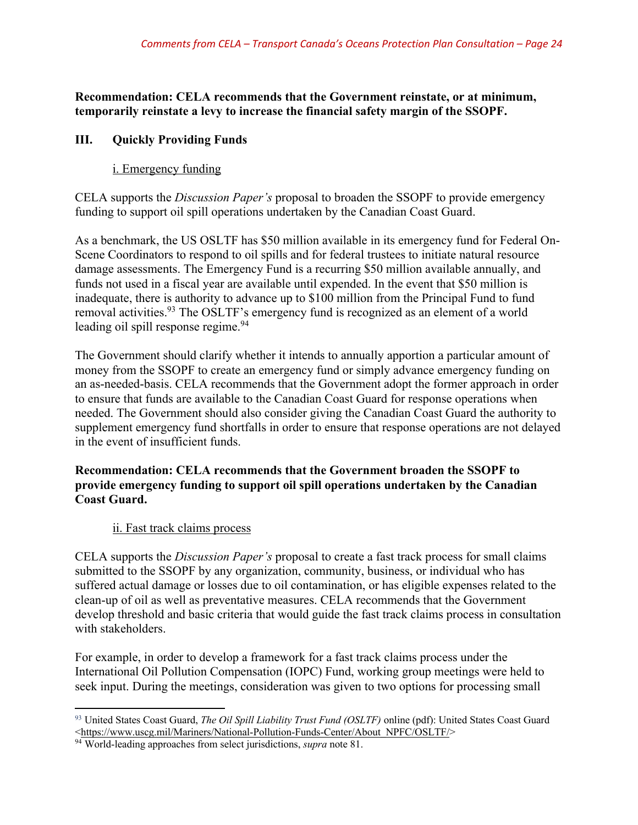**Recommendation: CELA recommends that the Government reinstate, or at minimum, temporarily reinstate a levy to increase the financial safety margin of the SSOPF.**

## **III. Quickly Providing Funds**

## i. Emergency funding

CELA supports the *Discussion Paper's* proposal to broaden the SSOPF to provide emergency funding to support oil spill operations undertaken by the Canadian Coast Guard.

As a benchmark, the US OSLTF has \$50 million available in its emergency fund for Federal On-Scene Coordinators to respond to oil spills and for federal trustees to initiate natural resource damage assessments. The Emergency Fund is a recurring \$50 million available annually, and funds not used in a fiscal year are available until expended. In the event that \$50 million is inadequate, there is authority to advance up to \$100 million from the Principal Fund to fund removal activities.<sup>93</sup> The OSLTF's emergency fund is recognized as an element of a world leading oil spill response regime.<sup>94</sup>

The Government should clarify whether it intends to annually apportion a particular amount of money from the SSOPF to create an emergency fund or simply advance emergency funding on an as-needed-basis. CELA recommends that the Government adopt the former approach in order to ensure that funds are available to the Canadian Coast Guard for response operations when needed. The Government should also consider giving the Canadian Coast Guard the authority to supplement emergency fund shortfalls in order to ensure that response operations are not delayed in the event of insufficient funds.

## **Recommendation: CELA recommends that the Government broaden the SSOPF to provide emergency funding to support oil spill operations undertaken by the Canadian Coast Guard.**

## ii. Fast track claims process

CELA supports the *Discussion Paper's* proposal to create a fast track process for small claims submitted to the SSOPF by any organization, community, business, or individual who has suffered actual damage or losses due to oil contamination, or has eligible expenses related to the clean-up of oil as well as preventative measures. CELA recommends that the Government develop threshold and basic criteria that would guide the fast track claims process in consultation with stakeholders.

For example, in order to develop a framework for a fast track claims process under the International Oil Pollution Compensation (IOPC) Fund, working group meetings were held to seek input. During the meetings, consideration was given to two options for processing small

 $\overline{\phantom{a}}$ <sup>93</sup> United States Coast Guard, *The Oil Spill Liability Trust Fund (OSLTF)* online (pdf): United States Coast Guard <https://www.uscg.mil/Mariners/National-Pollution-Funds-Center/About\_NPFC/OSLTF/>

<sup>94</sup> World-leading approaches from select jurisdictions, *supra* note 81.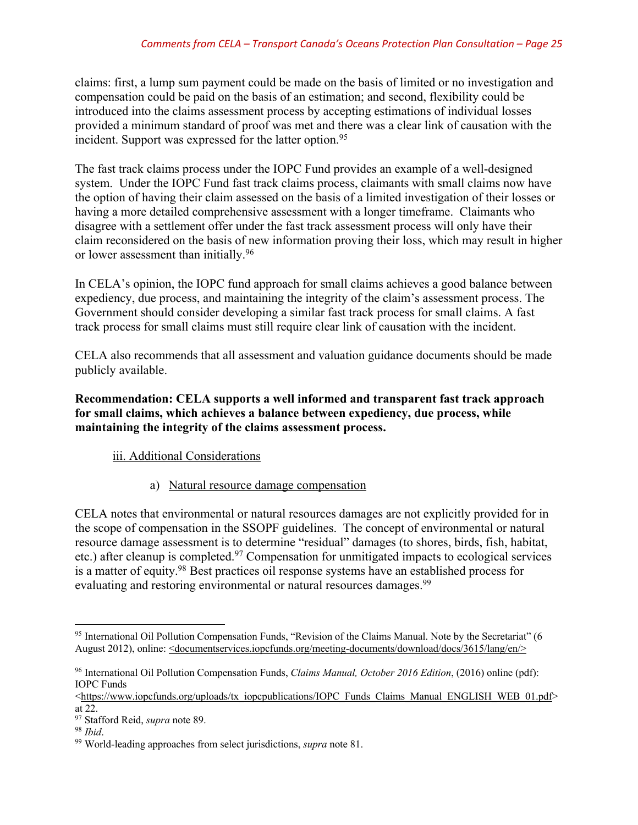claims: first, a lump sum payment could be made on the basis of limited or no investigation and compensation could be paid on the basis of an estimation; and second, flexibility could be introduced into the claims assessment process by accepting estimations of individual losses provided a minimum standard of proof was met and there was a clear link of causation with the incident. Support was expressed for the latter option.<sup>95</sup>

The fast track claims process under the IOPC Fund provides an example of a well-designed system. Under the IOPC Fund fast track claims process, claimants with small claims now have the option of having their claim assessed on the basis of a limited investigation of their losses or having a more detailed comprehensive assessment with a longer timeframe. Claimants who disagree with a settlement offer under the fast track assessment process will only have their claim reconsidered on the basis of new information proving their loss, which may result in higher or lower assessment than initially.<sup>96</sup>

In CELA's opinion, the IOPC fund approach for small claims achieves a good balance between expediency, due process, and maintaining the integrity of the claim's assessment process. The Government should consider developing a similar fast track process for small claims. A fast track process for small claims must still require clear link of causation with the incident.

CELA also recommends that all assessment and valuation guidance documents should be made publicly available.

**Recommendation: CELA supports a well informed and transparent fast track approach for small claims, which achieves a balance between expediency, due process, while maintaining the integrity of the claims assessment process.**

## iii. Additional Considerations

a) Natural resource damage compensation

CELA notes that environmental or natural resources damages are not explicitly provided for in the scope of compensation in the SSOPF guidelines. The concept of environmental or natural resource damage assessment is to determine "residual" damages (to shores, birds, fish, habitat, etc.) after cleanup is completed.97 Compensation for unmitigated impacts to ecological services is a matter of equity.98 Best practices oil response systems have an established process for evaluating and restoring environmental or natural resources damages.<sup>99</sup>

<sup>95</sup> International Oil Pollution Compensation Funds, "Revision of the Claims Manual. Note by the Secretariat" (6 August 2012), online: <documentservices.iopcfunds.org/meeting-documents/download/docs/3615/lang/en/>

<sup>96</sup> International Oil Pollution Compensation Funds, *Claims Manual, October 2016 Edition*, (2016) online (pdf): IOPC Funds

 $\lt$ https://www.iopcfunds.org/uploads/tx\_iopcpublications/IOPC\_Funds\_Claims\_Manual\_ENGLISH\_WEB\_01.pdf> at 22.

<sup>&</sup>lt;sup>97</sup> Stafford Reid, *supra* note 89.<br><sup>98</sup> *Ibid.* 99 World-leading approaches from select jurisdictions, *supra* note 81.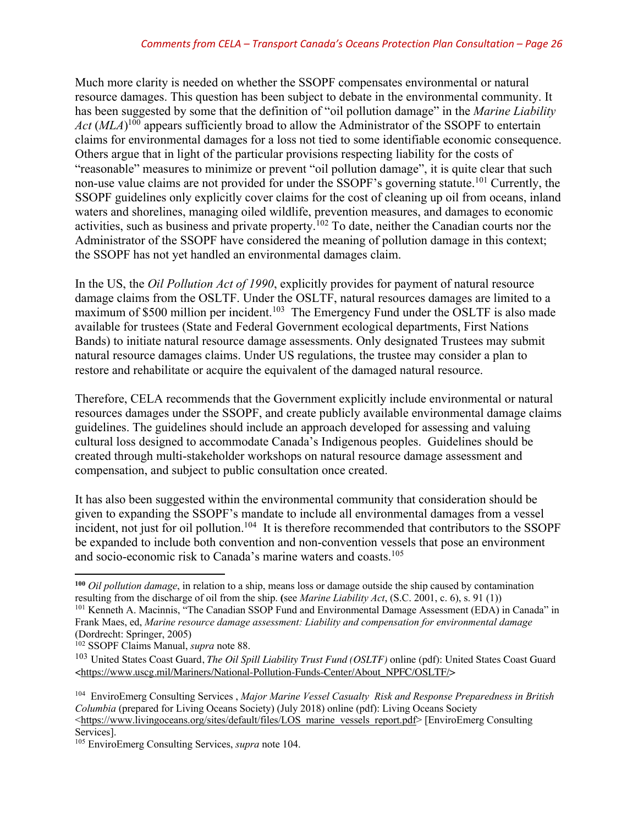Much more clarity is needed on whether the SSOPF compensates environmental or natural resource damages. This question has been subject to debate in the environmental community. It has been suggested by some that the definition of "oil pollution damage" in the *Marine Liability*  Act (MLA)<sup>100</sup> appears sufficiently broad to allow the Administrator of the SSOPF to entertain claims for environmental damages for a loss not tied to some identifiable economic consequence. Others argue that in light of the particular provisions respecting liability for the costs of "reasonable" measures to minimize or prevent "oil pollution damage", it is quite clear that such non-use value claims are not provided for under the SSOPF's governing statute.<sup>101</sup> Currently, the SSOPF guidelines only explicitly cover claims for the cost of cleaning up oil from oceans, inland waters and shorelines, managing oiled wildlife, prevention measures, and damages to economic activities, such as business and private property.<sup>102</sup> To date, neither the Canadian courts nor the Administrator of the SSOPF have considered the meaning of pollution damage in this context; the SSOPF has not yet handled an environmental damages claim.

In the US, the *Oil Pollution Act of 1990*, explicitly provides for payment of natural resource damage claims from the OSLTF. Under the OSLTF, natural resources damages are limited to a maximum of \$500 million per incident.<sup>103</sup> The Emergency Fund under the OSLTF is also made available for trustees (State and Federal Government ecological departments, First Nations Bands) to initiate natural resource damage assessments. Only designated Trustees may submit natural resource damages claims. Under US regulations, the trustee may consider a plan to restore and rehabilitate or acquire the equivalent of the damaged natural resource.

Therefore, CELA recommends that the Government explicitly include environmental or natural resources damages under the SSOPF, and create publicly available environmental damage claims guidelines. The guidelines should include an approach developed for assessing and valuing cultural loss designed to accommodate Canada's Indigenous peoples. Guidelines should be created through multi-stakeholder workshops on natural resource damage assessment and compensation, and subject to public consultation once created.

It has also been suggested within the environmental community that consideration should be given to expanding the SSOPF's mandate to include all environmental damages from a vessel incident, not just for oil pollution.<sup>104</sup> It is therefore recommended that contributors to the SSOPF be expanded to include both convention and non-convention vessels that pose an environment and socio-economic risk to Canada's marine waters and coasts.105

 $\overline{a}$ 

**<sup>100</sup>** *Oil pollution damage*, in relation to a ship, means loss or damage outside the ship caused by contamination resulting from the discharge of oil from the ship. **(**see *Marine Liability Act*, (S.C. 2001, c. 6), s. 91 (1))

<sup>101</sup> Kenneth A. Macinnis, "The Canadian SSOP Fund and Environmental Damage Assessment (EDA) in Canada" in Frank Maes, ed, *Marine resource damage assessment: Liability and compensation for environmental damage*  (Dordrecht: Springer, 2005)

<sup>102</sup> SSOPF Claims Manual, *supra* note 88.

<sup>103</sup> United States Coast Guard, *The Oil Spill Liability Trust Fund (OSLTF)* online (pdf): United States Coast Guard <https://www.uscg.mil/Mariners/National-Pollution-Funds-Center/About\_NPFC/OSLTF/>

<sup>104</sup> EnviroEmerg Consulting Services , *Major Marine Vessel Casualty Risk and Response Preparedness in British Columbia* (prepared for Living Oceans Society) (July 2018) online (pdf): Living Oceans Society <https://www.livingoceans.org/sites/default/files/LOS\_marine\_vessels\_report.pdf> [EnviroEmerg Consulting Services].

<sup>105</sup> EnviroEmerg Consulting Services, *supra* note 104.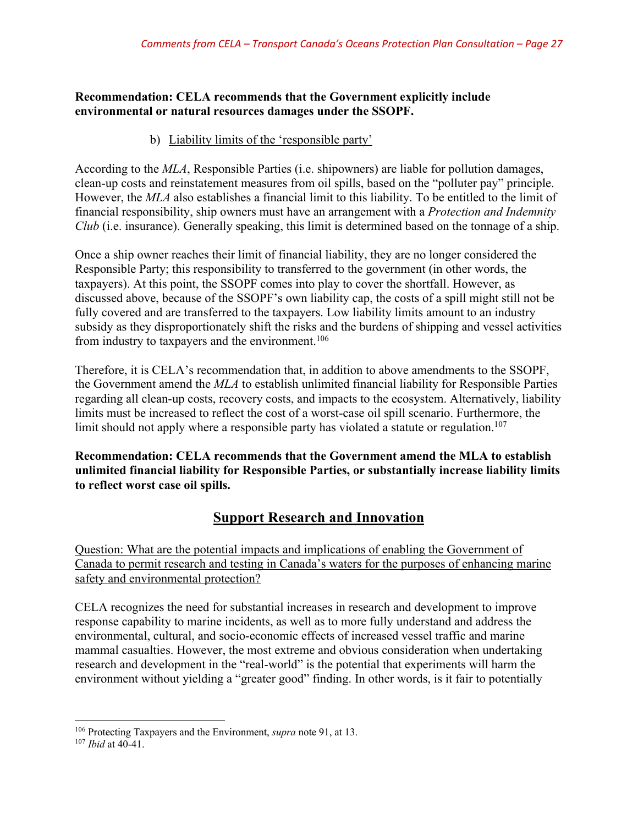## **Recommendation: CELA recommends that the Government explicitly include environmental or natural resources damages under the SSOPF.**

## b) Liability limits of the 'responsible party'

According to the *MLA*, Responsible Parties (i.e. shipowners) are liable for pollution damages, clean-up costs and reinstatement measures from oil spills, based on the "polluter pay" principle. However, the *MLA* also establishes a financial limit to this liability. To be entitled to the limit of financial responsibility, ship owners must have an arrangement with a *Protection and Indemnity Club* (i.e. insurance). Generally speaking, this limit is determined based on the tonnage of a ship.

Once a ship owner reaches their limit of financial liability, they are no longer considered the Responsible Party; this responsibility to transferred to the government (in other words, the taxpayers). At this point, the SSOPF comes into play to cover the shortfall. However, as discussed above, because of the SSOPF's own liability cap, the costs of a spill might still not be fully covered and are transferred to the taxpayers. Low liability limits amount to an industry subsidy as they disproportionately shift the risks and the burdens of shipping and vessel activities from industry to taxpayers and the environment.<sup>106</sup>

Therefore, it is CELA's recommendation that, in addition to above amendments to the SSOPF, the Government amend the *MLA* to establish unlimited financial liability for Responsible Parties regarding all clean-up costs, recovery costs, and impacts to the ecosystem. Alternatively, liability limits must be increased to reflect the cost of a worst-case oil spill scenario. Furthermore, the limit should not apply where a responsible party has violated a statute or regulation.<sup>107</sup>

**Recommendation: CELA recommends that the Government amend the MLA to establish unlimited financial liability for Responsible Parties, or substantially increase liability limits to reflect worst case oil spills.**

## **Support Research and Innovation**

Question: What are the potential impacts and implications of enabling the Government of Canada to permit research and testing in Canada's waters for the purposes of enhancing marine safety and environmental protection?

CELA recognizes the need for substantial increases in research and development to improve response capability to marine incidents, as well as to more fully understand and address the environmental, cultural, and socio-economic effects of increased vessel traffic and marine mammal casualties. However, the most extreme and obvious consideration when undertaking research and development in the "real-world" is the potential that experiments will harm the environment without yielding a "greater good" finding. In other words, is it fair to potentially

<sup>106</sup> Protecting Taxpayers and the Environment, *supra* note 91, at 13. 107 *Ibid* at 40-41.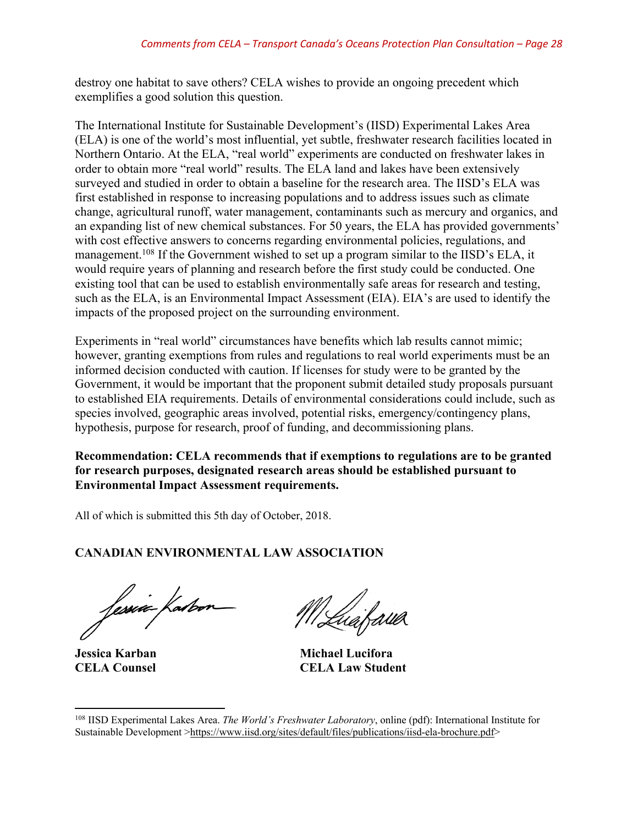destroy one habitat to save others? CELA wishes to provide an ongoing precedent which exemplifies a good solution this question.

The International Institute for Sustainable Development's (IISD) Experimental Lakes Area (ELA) is one of the world's most influential, yet subtle, freshwater research facilities located in Northern Ontario. At the ELA, "real world" experiments are conducted on freshwater lakes in order to obtain more "real world" results. The ELA land and lakes have been extensively surveyed and studied in order to obtain a baseline for the research area. The IISD's ELA was first established in response to increasing populations and to address issues such as climate change, agricultural runoff, water management, contaminants such as mercury and organics, and an expanding list of new chemical substances. For 50 years, the ELA has provided governments' with cost effective answers to concerns regarding environmental policies, regulations, and management.<sup>108</sup> If the Government wished to set up a program similar to the IISD's ELA, it would require years of planning and research before the first study could be conducted. One existing tool that can be used to establish environmentally safe areas for research and testing, such as the ELA, is an Environmental Impact Assessment (EIA). EIA's are used to identify the impacts of the proposed project on the surrounding environment.

Experiments in "real world" circumstances have benefits which lab results cannot mimic; however, granting exemptions from rules and regulations to real world experiments must be an informed decision conducted with caution. If licenses for study were to be granted by the Government, it would be important that the proponent submit detailed study proposals pursuant to established EIA requirements. Details of environmental considerations could include, such as species involved, geographic areas involved, potential risks, emergency/contingency plans, hypothesis, purpose for research, proof of funding, and decommissioning plans.

**Recommendation: CELA recommends that if exemptions to regulations are to be granted for research purposes, designated research areas should be established pursuant to Environmental Impact Assessment requirements.**

All of which is submitted this 5th day of October, 2018.

## **CANADIAN ENVIRONMENTAL LAW ASSOCIATION**

fessie fatoor

MLuafawa

**Jessica Karban Michael Lucifora CELA Counsel CELA Law Student**

 $\overline{\phantom{a}}$ <sup>108</sup> IISD Experimental Lakes Area. *The World's Freshwater Laboratory*, online (pdf): International Institute for Sustainable Development >https://www.iisd.org/sites/default/files/publications/iisd-ela-brochure.pdf>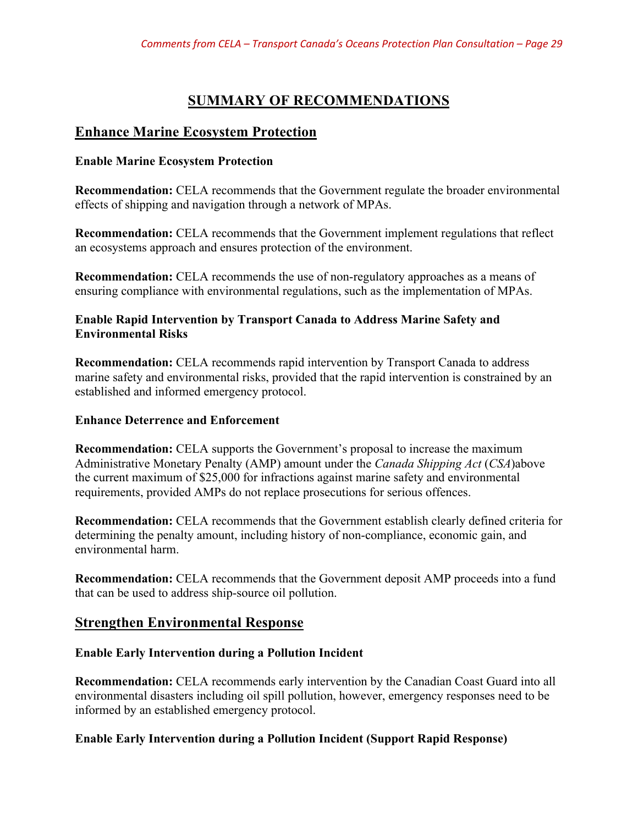# **SUMMARY OF RECOMMENDATIONS**

## **Enhance Marine Ecosystem Protection**

#### **Enable Marine Ecosystem Protection**

**Recommendation:** CELA recommends that the Government regulate the broader environmental effects of shipping and navigation through a network of MPAs.

**Recommendation:** CELA recommends that the Government implement regulations that reflect an ecosystems approach and ensures protection of the environment.

**Recommendation:** CELA recommends the use of non-regulatory approaches as a means of ensuring compliance with environmental regulations, such as the implementation of MPAs.

## **Enable Rapid Intervention by Transport Canada to Address Marine Safety and Environmental Risks**

**Recommendation:** CELA recommends rapid intervention by Transport Canada to address marine safety and environmental risks, provided that the rapid intervention is constrained by an established and informed emergency protocol.

## **Enhance Deterrence and Enforcement**

**Recommendation:** CELA supports the Government's proposal to increase the maximum Administrative Monetary Penalty (AMP) amount under the *Canada Shipping Act* (*CSA*)above the current maximum of \$25,000 for infractions against marine safety and environmental requirements, provided AMPs do not replace prosecutions for serious offences.

**Recommendation:** CELA recommends that the Government establish clearly defined criteria for determining the penalty amount, including history of non-compliance, economic gain, and environmental harm.

**Recommendation:** CELA recommends that the Government deposit AMP proceeds into a fund that can be used to address ship-source oil pollution.

## **Strengthen Environmental Response**

## **Enable Early Intervention during a Pollution Incident**

**Recommendation:** CELA recommends early intervention by the Canadian Coast Guard into all environmental disasters including oil spill pollution, however, emergency responses need to be informed by an established emergency protocol.

## **Enable Early Intervention during a Pollution Incident (Support Rapid Response)**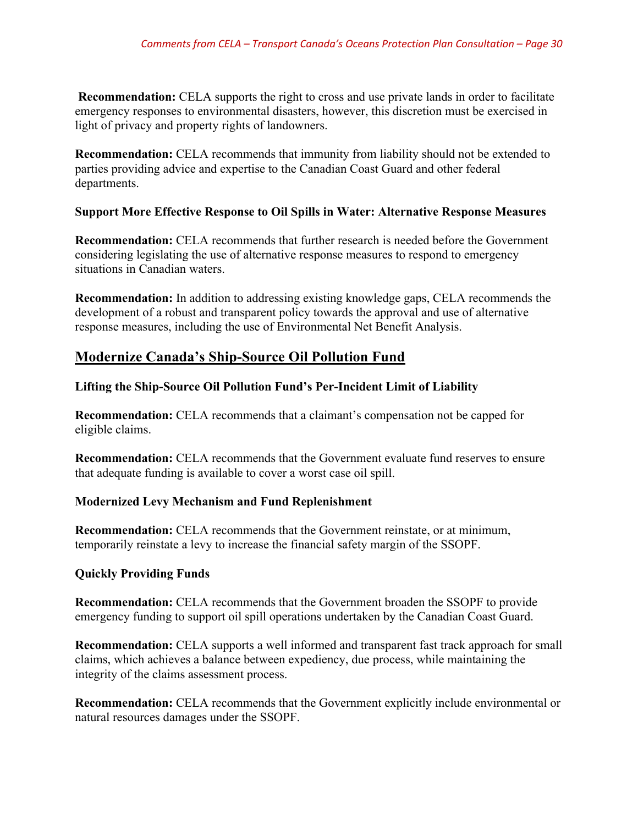**Recommendation:** CELA supports the right to cross and use private lands in order to facilitate emergency responses to environmental disasters, however, this discretion must be exercised in light of privacy and property rights of landowners.

**Recommendation:** CELA recommends that immunity from liability should not be extended to parties providing advice and expertise to the Canadian Coast Guard and other federal departments.

#### **Support More Effective Response to Oil Spills in Water: Alternative Response Measures**

**Recommendation:** CELA recommends that further research is needed before the Government considering legislating the use of alternative response measures to respond to emergency situations in Canadian waters.

**Recommendation:** In addition to addressing existing knowledge gaps, CELA recommends the development of a robust and transparent policy towards the approval and use of alternative response measures, including the use of Environmental Net Benefit Analysis.

## **Modernize Canada's Ship-Source Oil Pollution Fund**

## **Lifting the Ship-Source Oil Pollution Fund's Per-Incident Limit of Liability**

**Recommendation:** CELA recommends that a claimant's compensation not be capped for eligible claims.

**Recommendation:** CELA recommends that the Government evaluate fund reserves to ensure that adequate funding is available to cover a worst case oil spill.

## **Modernized Levy Mechanism and Fund Replenishment**

**Recommendation:** CELA recommends that the Government reinstate, or at minimum, temporarily reinstate a levy to increase the financial safety margin of the SSOPF.

## **Quickly Providing Funds**

**Recommendation:** CELA recommends that the Government broaden the SSOPF to provide emergency funding to support oil spill operations undertaken by the Canadian Coast Guard.

**Recommendation:** CELA supports a well informed and transparent fast track approach for small claims, which achieves a balance between expediency, due process, while maintaining the integrity of the claims assessment process.

**Recommendation:** CELA recommends that the Government explicitly include environmental or natural resources damages under the SSOPF.